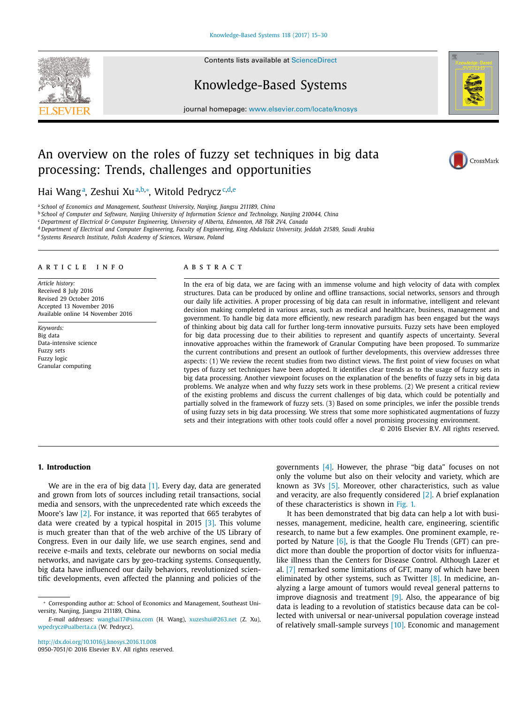Contents lists available at [ScienceDirect](http://www.ScienceDirect.com)



# Knowledge-Based Systems



journal homepage: [www.elsevier.com/locate/knosys](http://www.elsevier.com/locate/knosys)

# An overview on the roles of fuzzy set techniques in big data processing: Trends, challenges and opportunities



Hai Wangª, Zeshui Xuª,b,∗, Witold Pedrycz<sup>c,d,e</sup>

<sup>a</sup> *School of Economics and Management, Southeast University, Nanjing, Jiangsu 211189, China*

<sup>b</sup> *School of Computer and Software, Nanjing University of Information Science and Technology, Nanjing 210044, China*

<sup>c</sup> *Department of Electrical & Computer Engineering, University of Alberta, Edmonton, AB T6R 2V4, Canada*

<sup>d</sup> Department of Electrical and Computer Engineering, Faculty of Engineering, King Abdulaziz University, Jeddah 21589, Saudi Arabia

<sup>e</sup> *Systems Research Institute, Polish Academy of Sciences, Warsaw, Poland*

#### A R T I C L E I N F O

*Article history:* Received 8 July 2016 Revised 29 October 2016 Accepted 13 November 2016 Available online 14 November 2016

*Keywords:* Big data Data-intensive science Fuzzy sets Fuzzy logic Granular computing

### A B S T R A C T

In the era of big data, we are facing with an immense volume and high velocity of data with complex structures. Data can be produced by online and offline transactions, social networks, sensors and through our daily life activities. A proper processing of big data can result in informative, intelligent and relevant decision making completed in various areas, such as medical and healthcare, business, management and government. To handle big data more efficiently, new research paradigm has been engaged but the ways of thinking about big data call for further long-term innovative pursuits. Fuzzy sets have been employed for big data processing due to their abilities to represent and quantify aspects of uncertainty. Several innovative approaches within the framework of Granular Computing have been proposed. To summarize the current contributions and present an outlook of further developments, this overview addresses three aspects: (1) We review the recent studies from two distinct views. The first point of view focuses on what types of fuzzy set techniques have been adopted. It identifies clear trends as to the usage of fuzzy sets in big data processing. Another viewpoint focuses on the explanation of the benefits of fuzzy sets in big data problems. We analyze when and why fuzzy sets work in these problems. (2) We present a critical review of the existing problems and discuss the current challenges of big data, which could be potentially and partially solved in the framework of fuzzy sets. (3) Based on some principles, we infer the possible trends of using fuzzy sets in big data processing. We stress that some more sophisticated augmentations of fuzzy sets and their integrations with other tools could offer a novel promising processing environment.

© 2016 Elsevier B.V. All rights reserved.

## **1. Introduction**

We are in the era of big data  $[1]$ . Every day, data are generated and grown from lots of sources including retail transactions, social media and sensors, with the unprecedented rate which exceeds the Moore's law [\[2\].](#page-13-0) For instance, it was reported that 665 terabytes of data were created by a typical hospital in 2015  $[3]$ . This volume is much greater than that of the web archive of the US Library of Congress. Even in our daily life, we use search engines, send and receive e-mails and texts, celebrate our newborns on social media networks, and navigate cars by geo-tracking systems. Consequently, big data have influenced our daily behaviors, revolutionized scientific developments, even affected the planning and policies of the

<http://dx.doi.org/10.1016/j.knosys.2016.11.008> 0950-7051/© 2016 Elsevier B.V. All rights reserved. governments [\[4\].](#page-13-0) However, the phrase "big data" focuses on not only the volume but also on their velocity and variety, which are known as 3Vs [\[5\].](#page-13-0) Moreover, other characteristics, such as value and veracity, are also frequently considered  $[2]$ . A brief explanation of these characteristics is shown in [Fig.](#page-1-0) 1.

It has been demonstrated that big data can help a lot with businesses, management, medicine, health care, engineering, scientific research, to name but a few examples. One prominent example, reported by Nature  $[6]$ , is that the Google Flu Trends (GFT) can predict more than double the proportion of doctor visits for influenzalike illness than the Centers for Disease Control. Although Lazer et al. [\[7\]](#page-13-0) remarked some limitations of GFT, many of which have been eliminated by other systems, such as Twitter  $[8]$ . In medicine, analyzing a large amount of tumors would reveal general patterns to improve diagnosis and treatment  $[9]$ . Also, the appearance of big data is leading to a revolution of statistics because data can be collected with universal or near-universal population coverage instead of relatively small-sample surveys [\[10\].](#page-13-0) Economic and management

<sup>∗</sup> Corresponding author at: School of Economics and Management, Southeast University, Nanjing, Jiangsu 211189, China.

*E-mail addresses:* [wanghai17@sina.com](mailto:wanghai17@sina.com) (H. Wang), [xuzeshui@263.net](mailto:xuzeshui@263.net) (Z. Xu), [wpedrycz@ualberta.ca](mailto:wpedrycz@ualberta.ca) (W. Pedrycz).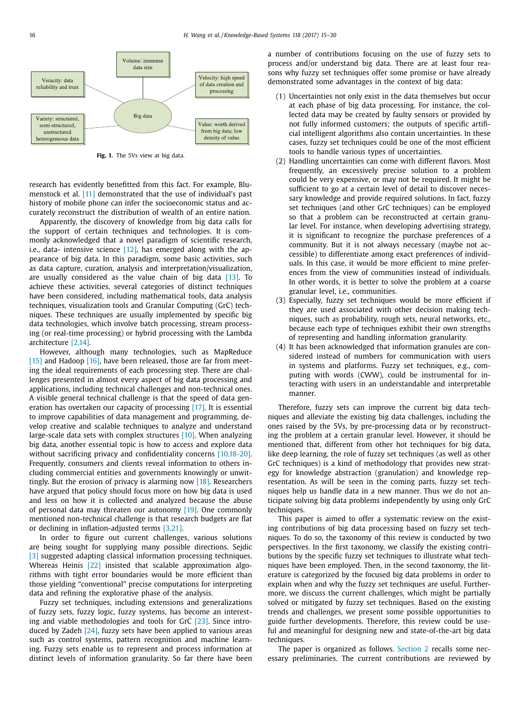<span id="page-1-0"></span>

**Fig. 1.** The 5Vs view at big data.

research has evidently benefitted from this fact. For example, Blumenstock et al. [\[11\]](#page-13-0) demonstrated that the use of individual's past history of mobile phone can infer the socioeconomic status and accurately reconstruct the distribution of wealth of an entire nation.

Apparently, the discovery of knowledge from big data calls for the support of certain techniques and technologies. It is commonly acknowledged that a novel paradigm of scientific research, i.e., data- intensive science [\[12\],](#page-13-0) has emerged along with the appearance of big data. In this paradigm, some basic activities, such as data capture, curation, analysis and interpretation/visualization, are usually considered as the value chain of big data [\[13\].](#page-13-0) To achieve these activities, several categories of distinct techniques have been considered, including mathematical tools, data analysis techniques, visualization tools and Granular Computing (GrC) techniques. These techniques are usually implemented by specific big data technologies, which involve batch processing, stream processing (or real-time processing) or hybrid processing with the Lambda architecture [\[2,14\].](#page-13-0)

However, although many technologies, such as MapReduce [\[15\]](#page-13-0) and Hadoop [\[16\],](#page-13-0) have been released, those are far from meeting the ideal requirements of each processing step. There are challenges presented in almost every aspect of big data processing and applications, including technical challenges and non-technical ones. A visible general technical challenge is that the speed of data gen-eration has overtaken our capacity of processing [\[17\].](#page-13-0) It is essential to improve capabilities of data management and programming, develop creative and scalable techniques to analyze and understand large-scale data sets with complex structures [\[10\].](#page-13-0) When analyzing big data, another essential topic is how to access and explore data without sacrificing privacy and confidentiality concerns [\[10,18-20\].](#page-13-0) Frequently, consumers and clients reveal information to others including commercial entities and governments knowingly or unwittingly. But the erosion of privacy is alarming now [\[18\].](#page-14-0) Researchers have argued that policy should focus more on how big data is used and less on how it is collected and analyzed because the abuse of personal data may threaten our autonomy  $[19]$ . One commonly mentioned non-technical challenge is that research budgets are flat or declining in inflation-adjusted terms [\[3,21\].](#page-13-0)

In order to figure out current challenges, various solutions are being sought for supplying many possible directions. Sejdic [\[3\]](#page-13-0) suggested adapting classical information processing techniques. Whereas Heinis [\[22\]](#page-14-0) insisted that scalable approximation algorithms with tight error boundaries would be more efficient than those yielding "conventional" precise computations for interpreting data and refining the explorative phase of the analysis.

Fuzzy set techniques, including extensions and generalizations of fuzzy sets, fuzzy logic, fuzzy systems, has become an interesting and viable methodologies and tools for GrC [\[23\].](#page-14-0) Since introduced by Zadeh [\[24\],](#page-14-0) fuzzy sets have been applied to various areas such as control systems, pattern recognition and machine learning. Fuzzy sets enable us to represent and process information at distinct levels of information granularity. So far there have been a number of contributions focusing on the use of fuzzy sets to process and/or understand big data. There are at least four reasons why fuzzy set techniques offer some promise or have already demonstrated some advantages in the context of big data:

- (1) Uncertainties not only exist in the data themselves but occur at each phase of big data processing. For instance, the collected data may be created by faulty sensors or provided by not fully informed customers; the outputs of specific artificial intelligent algorithms also contain uncertainties. In these cases, fuzzy set techniques could be one of the most efficient tools to handle various types of uncertainties.
- (2) Handling uncertainties can come with different flavors. Most frequently, an excessively precise solution to a problem could be very expensive, or may not be required. It might be sufficient to go at a certain level of detail to discover necessary knowledge and provide required solutions. In fact, fuzzy set techniques (and other GrC techniques) can be employed so that a problem can be reconstructed at certain granular level. For instance, when developing advertising strategy, it is significant to recognize the purchase preferences of a community. But it is not always necessary (maybe not accessible) to differentiate among exact preferences of individuals. In this case, it would be more efficient to mine preferences from the view of communities instead of individuals. In other words, it is better to solve the problem at a coarse granular level, i.e., communities.
- (3) Especially, fuzzy set techniques would be more efficient if they are used associated with other decision making techniques, such as probability, rough sets, neural networks, etc., because each type of techniques exhibit their own strengths of representing and handling information granularity.
- (4) It has been acknowledged that information granules are considered instead of numbers for communication with users in systems and platforms. Fuzzy set techniques, e.g., computing with words (CWW), could be instrumental for interacting with users in an understandable and interpretable manner.

Therefore, fuzzy sets can improve the current big data techniques and alleviate the existing big data challenges, including the ones raised by the 5Vs, by pre-processing data or by reconstructing the problem at a certain granular level. However, it should be mentioned that, different from other hot techniques for big data, like deep learning, the role of fuzzy set techniques (as well as other GrC techniques) is a kind of methodology that provides new strategy for knowledge abstraction (granulation) and knowledge representation. As will be seen in the coming parts, fuzzy set techniques help us handle data in a new manner. Thus we do not anticipate solving big data problems independently by using only GrC techniques.

This paper is aimed to offer a systematic review on the existing contributions of big data processing based on fuzzy set techniques. To do so, the taxonomy of this review is conducted by two perspectives. In the first taxonomy, we classify the existing contributions by the specific fuzzy set techniques to illustrate what techniques have been employed. Then, in the second taxonomy, the literature is categorized by the focused big data problems in order to explain when and why the fuzzy set techniques are useful. Furthermore, we discuss the current challenges, which might be partially solved or mitigated by fuzzy set techniques. Based on the existing trends and challenges, we present some possible opportunities to guide further developments. Therefore, this review could be useful and meaningful for designing new and state-of-the-art big data techniques.

The paper is organized as follows. [Section](#page-2-0) 2 recalls some necessary preliminaries. The current contributions are reviewed by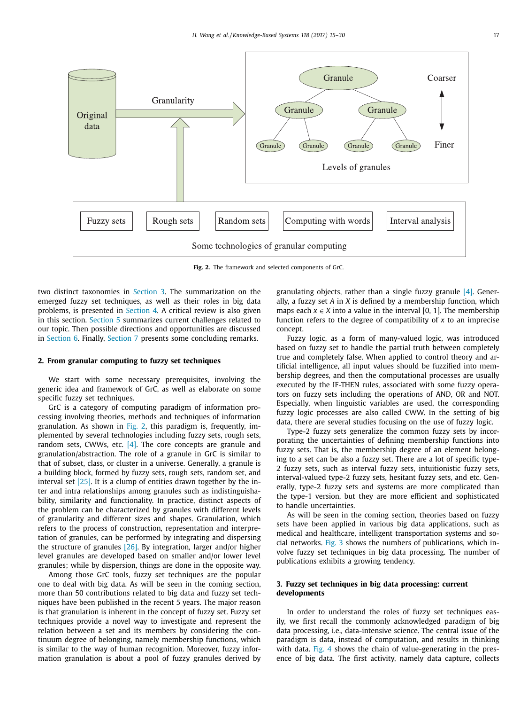<span id="page-2-0"></span>

**Fig. 2.** The framework and selected components of GrC.

two distinct taxonomies in Section 3. The summarization on the emerged fuzzy set techniques, as well as their roles in big data problems, is presented in [Section](#page-8-0) 4. A critical review is also given in this section. [Section](#page-9-0) 5 summarizes current challenges related to our topic. Then possible directions and opportunities are discussed in [Section](#page-11-0) 6. Finally, [Section](#page-13-0) 7 presents some concluding remarks.

#### **2. From granular computing to fuzzy set techniques**

We start with some necessary prerequisites, involving the generic idea and framework of GrC, as well as elaborate on some specific fuzzy set techniques.

GrC is a category of computing paradigm of information processing involving theories, methods and techniques of information granulation. As shown in Fig. 2, this paradigm is, frequently, implemented by several technologies including fuzzy sets, rough sets, random sets, CWWs, etc.  $[4]$ . The core concepts are granule and granulation/abstraction. The role of a granule in GrC is similar to that of subset, class, or cluster in a universe. Generally, a granule is a building block, formed by fuzzy sets, rough sets, random set, and interval set [\[25\].](#page-14-0) It is a clump of entities drawn together by the inter and intra relationships among granules such as indistinguishability, similarity and functionality. In practice, distinct aspects of the problem can be characterized by granules with different levels of granularity and different sizes and shapes. Granulation, which refers to the process of construction, representation and interpretation of granules, can be performed by integrating and dispersing the structure of granules [\[26\].](#page-14-0) By integration, larger and/or higher level granules are developed based on smaller and/or lower level granules; while by dispersion, things are done in the opposite way.

Among those GrC tools, fuzzy set techniques are the popular one to deal with big data. As will be seen in the coming section, more than 50 contributions related to big data and fuzzy set techniques have been published in the recent 5 years. The major reason is that granulation is inherent in the concept of fuzzy set. Fuzzy set techniques provide a novel way to investigate and represent the relation between a set and its members by considering the continuum degree of belonging, namely membership functions, which is similar to the way of human recognition. Moreover, fuzzy information granulation is about a pool of fuzzy granules derived by

granulating objects, rather than a single fuzzy granule [\[4\].](#page-13-0) Generally, a fuzzy set *A* in *X* is defined by a membership function, which maps each  $x \in X$  into a value in the interval [0, 1]. The membership function refers to the degree of compatibility of *x* to an imprecise concept.

Fuzzy logic, as a form of many-valued logic, was introduced based on fuzzy set to handle the partial truth between completely true and completely false. When applied to control theory and artificial intelligence, all input values should be fuzzified into membership degrees, and then the computational processes are usually executed by the IF-THEN rules, associated with some fuzzy operators on fuzzy sets including the operations of AND, OR and NOT. Especially, when linguistic variables are used, the corresponding fuzzy logic processes are also called CWW. In the setting of big data, there are several studies focusing on the use of fuzzy logic.

Type-2 fuzzy sets generalize the common fuzzy sets by incorporating the uncertainties of defining membership functions into fuzzy sets. That is, the membership degree of an element belonging to a set can be also a fuzzy set. There are a lot of specific type-2 fuzzy sets, such as interval fuzzy sets, intuitionistic fuzzy sets, interval-valued type-2 fuzzy sets, hesitant fuzzy sets, and etc. Generally, type-2 fuzzy sets and systems are more complicated than the type-1 version, but they are more efficient and sophisticated to handle uncertainties.

As will be seen in the coming section, theories based on fuzzy sets have been applied in various big data applications, such as medical and healthcare, intelligent transportation systems and social networks. [Fig.](#page-3-0) 3 shows the numbers of publications, which involve fuzzy set techniques in big data processing. The number of publications exhibits a growing tendency.

# **3. Fuzzy set techniques in big data processing: current developments**

In order to understand the roles of fuzzy set techniques easily, we first recall the commonly acknowledged paradigm of big data processing, i.e., data-intensive science. The central issue of the paradigm is data, instead of computation, and results in thinking with data. [Fig.](#page-3-0) 4 shows the chain of value-generating in the presence of big data. The first activity, namely data capture, collects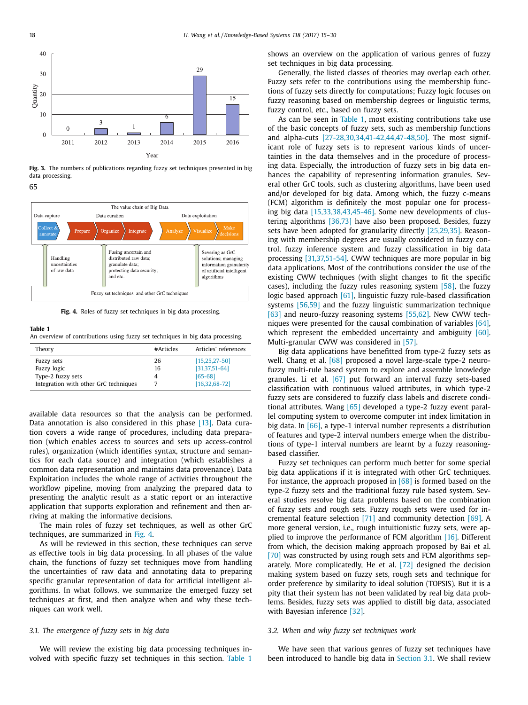<span id="page-3-0"></span>

**Fig. 3.** The numbers of publications regarding fuzzy set techniques presented in big data processing.





**Fig. 4.** Roles of fuzzy set techniques in big data processing.

# **Table 1**

An overview of contributions using fuzzy set techniques in big data processing.

| Theory                                | #Articles | Articles' references |
|---------------------------------------|-----------|----------------------|
| Fuzzy sets                            | 26        | $[15, 25, 27 - 50]$  |
| Fuzzy logic                           | 16        | $[31, 37, 51 - 64]$  |
| Type-2 fuzzy sets                     |           | $[65 - 68]$          |
| Integration with other GrC techniques |           | $[16, 32, 68 - 72]$  |

available data resources so that the analysis can be performed. Data annotation is also considered in this phase [\[13\].](#page-13-0) Data curation covers a wide range of procedures, including data preparation (which enables access to sources and sets up access-control rules), organization (which identifies syntax, structure and semantics for each data source) and integration (which establishes a common data representation and maintains data provenance). Data Exploitation includes the whole range of activities throughout the workflow pipeline, moving from analyzing the prepared data to presenting the analytic result as a static report or an interactive application that supports exploration and refinement and then arriving at making the informative decisions.

The main roles of fuzzy set techniques, as well as other GrC techniques, are summarized in Fig. 4.

As will be reviewed in this section, these techniques can serve as effective tools in big data processing. In all phases of the value chain, the functions of fuzzy set techniques move from handling the uncertainties of raw data and annotating data to preparing specific granular representation of data for artificial intelligent algorithms. In what follows, we summarize the emerged fuzzy set techniques at first, and then analyze when and why these techniques can work well.

# *3.1. The emergence of fuzzy sets in big data*

We will review the existing big data processing techniques involved with specific fuzzy set techniques in this section. Table 1

shows an overview on the application of various genres of fuzzy set techniques in big data processing.

Generally, the listed classes of theories may overlap each other. Fuzzy sets refer to the contributions using the membership functions of fuzzy sets directly for computations; Fuzzy logic focuses on fuzzy reasoning based on membership degrees or linguistic terms, fuzzy control, etc., based on fuzzy sets.

As can be seen in Table 1, most existing contributions take use of the basic concepts of fuzzy sets, such as membership functions and alpha-cuts [\[27-28,30,34,41-42,44,47-48,50\].](#page-14-0) The most significant role of fuzzy sets is to represent various kinds of uncertainties in the data themselves and in the procedure of processing data. Especially, the introduction of fuzzy sets in big data enhances the capability of representing information granules. Several other GrC tools, such as clustering algorithms, have been used and/or developed for big data. Among which, the fuzzy c-means (FCM) algorithm is definitely the most popular one for processing big data [\[15,33,38,43,45-46\].](#page-13-0) Some new developments of clustering algorithms [\[36,73\]](#page-14-0) have also been proposed. Besides, fuzzy sets have been adopted for granularity directly [\[25,29,35\].](#page-14-0) Reasoning with membership degrees are usually considered in fuzzy control, fuzzy inference system and fuzzy classification in big data processing [\[31,37,51-54\].](#page-14-0) CWW techniques are more popular in big data applications. Most of the contributions consider the use of the existing CWW techniques (with slight changes to fit the specific cases), including the fuzzy rules reasoning system [\[58\],](#page-14-0) the fuzzy logic based approach [\[61\],](#page-14-0) linguistic fuzzy rule-based classification systems [\[56,59\]](#page-14-0) and the fuzzy linguistic summarization technique [\[63\]](#page-14-0) and neuro-fuzzy reasoning systems [\[55,62\].](#page-14-0) New CWW techniques were presented for the causal combination of variables [\[64\],](#page-14-0) which represent the embedded uncertainty and ambiguity [\[60\].](#page-14-0) Multi-granular CWW was considered in [\[57\].](#page-14-0)

Big data applications have benefitted from type-2 fuzzy sets as well. Chang et al. [\[68\]](#page-14-0) proposed a novel large-scale type-2 neurofuzzy multi-rule based system to explore and assemble knowledge granules. Li et al. [\[67\]](#page-14-0) put forward an interval fuzzy sets-based classification with continuous valued attributes, in which type-2 fuzzy sets are considered to fuzzify class labels and discrete condi-tional attributes. Wang [\[65\]](#page-14-0) developed a type-2 fuzzy event parallel computing system to overcome computer int index limitation in big data. In [\[66\],](#page-14-0) a type-1 interval number represents a distribution of features and type-2 interval numbers emerge when the distributions of type-1 interval numbers are learnt by a fuzzy reasoningbased classifier.

Fuzzy set techniques can perform much better for some special big data applications if it is integrated with other GrC techniques. For instance, the approach proposed in  $[68]$  is formed based on the type-2 fuzzy sets and the traditional fuzzy rule based system. Several studies resolve big data problems based on the combination of fuzzy sets and rough sets. Fuzzy rough sets were used for incremental feature selection [\[71\]](#page-14-0) and community detection [\[69\].](#page-14-0) A more general version, i.e., rough intuitionistic fuzzy sets, were applied to improve the performance of FCM algorithm [\[16\].](#page-13-0) Different from which, the decision making approach proposed by Bai et al. [\[70\]](#page-14-0) was constructed by using rough sets and FCM algorithms separately. More complicatedly, He et al. [\[72\]](#page-14-0) designed the decision making system based on fuzzy sets, rough sets and technique for order preference by similarity to ideal solution (TOPSIS). But it is a pity that their system has not been validated by real big data problems. Besides, fuzzy sets was applied to distill big data, associated with Bayesian inference [\[32\].](#page-14-0)

## *3.2. When and why fuzzy set techniques work*

We have seen that various genres of fuzzy set techniques have been introduced to handle big data in Section 3.1. We shall review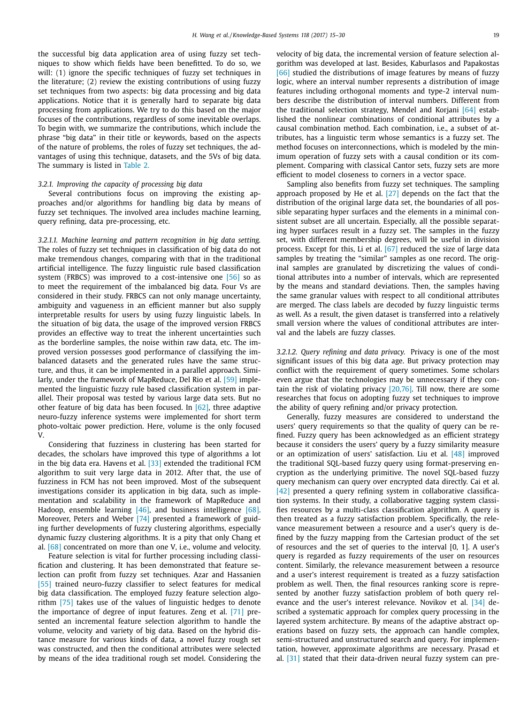the successful big data application area of using fuzzy set techniques to show which fields have been benefitted. To do so, we will: (1) ignore the specific techniques of fuzzy set techniques in the literature; (2) review the existing contributions of using fuzzy set techniques from two aspects: big data processing and big data applications. Notice that it is generally hard to separate big data processing from applications. We try to do this based on the major focuses of the contributions, regardless of some inevitable overlaps. To begin with, we summarize the contributions, which include the phrase "big data" in their title or keywords, based on the aspects of the nature of problems, the roles of fuzzy set techniques, the advantages of using this technique, datasets, and the 5Vs of big data. The summary is listed in [Table](#page-5-0) 2.

#### *3.2.1. Improving the capacity of processing big data*

Several contributions focus on improving the existing approaches and/or algorithms for handling big data by means of fuzzy set techniques. The involved area includes machine learning, query refining, data pre-processing, etc.

*3.2.1.1. Machine learning and pattern recognition in big data setting.* The roles of fuzzy set techniques in classification of big data do not make tremendous changes, comparing with that in the traditional artificial intelligence. The fuzzy linguistic rule based classification system (FRBCS) was improved to a cost-intensive one [\[56\]](#page-14-0) so as to meet the requirement of the imbalanced big data. Four Vs are considered in their study. FRBCS can not only manage uncertainty, ambiguity and vagueness in an efficient manner but also supply interpretable results for users by using fuzzy linguistic labels. In the situation of big data, the usage of the improved version FRBCS provides an effective way to treat the inherent uncertainties such as the borderline samples, the noise within raw data, etc. The improved version possesses good performance of classifying the imbalanced datasets and the generated rules have the same structure, and thus, it can be implemented in a parallel approach. Similarly, under the framework of MapReduce, Del Rio et al. [\[59\]](#page-14-0) implemented the linguistic fuzzy rule based classification system in parallel. Their proposal was tested by various large data sets. But no other feature of big data has been focused. In [\[62\],](#page-14-0) three adaptive neuro-fuzzy inference systems were implemented for short term photo-voltaic power prediction. Here, volume is the only focused V.

Considering that fuzziness in clustering has been started for decades, the scholars have improved this type of algorithms a lot in the big data era. Havens et al. [\[33\]](#page-14-0) extended the traditional FCM algorithm to suit very large data in 2012. After that, the use of fuzziness in FCM has not been improved. Most of the subsequent investigations consider its application in big data, such as implementation and scalability in the framework of MapReduce and Hadoop, ensemble learning  $[46]$ , and business intelligence  $[68]$ . Moreover, Peters and Weber [\[74\]](#page-14-0) presented a framework of guiding further developments of fuzzy clustering algorithms, especially dynamic fuzzy clustering algorithms. It is a pity that only Chang et al. [\[68\]](#page-14-0) concentrated on more than one V, i.e., volume and velocity.

Feature selection is vital for further processing including classification and clustering. It has been demonstrated that feature selection can profit from fuzzy set techniques. Azar and Hassanien [\[55\]](#page-14-0) trained neuro-fuzzy classifier to select features for medical big data classification. The employed fuzzy feature selection algorithm [\[75\]](#page-14-0) takes use of the values of linguistic hedges to denote the importance of degree of input features. Zeng et al. [\[71\]](#page-14-0) presented an incremental feature selection algorithm to handle the volume, velocity and variety of big data. Based on the hybrid distance measure for various kinds of data, a novel fuzzy rough set was constructed, and then the conditional attributes were selected by means of the idea traditional rough set model. Considering the velocity of big data, the incremental version of feature selection algorithm was developed at last. Besides, Kaburlasos and Papakostas [\[66\]](#page-14-0) studied the distributions of image features by means of fuzzy logic, where an interval number represents a distribution of image features including orthogonal moments and type-2 interval numbers describe the distribution of interval numbers. Different from the traditional selection strategy, Mendel and Korjani [\[64\]](#page-14-0) established the nonlinear combinations of conditional attributes by a causal combination method. Each combination, i.e., a subset of attributes, has a linguistic term whose semantics is a fuzzy set. The method focuses on interconnections, which is modeled by the minimum operation of fuzzy sets with a causal condition or its complement. Comparing with classical Cantor sets, fuzzy sets are more efficient to model closeness to corners in a vector space.

Sampling also benefits from fuzzy set techniques. The sampling approach proposed by He et al. [\[27\]](#page-14-0) depends on the fact that the distribution of the original large data set, the boundaries of all possible separating hyper surfaces and the elements in a minimal consistent subset are all uncertain. Especially, all the possible separating hyper surfaces result in a fuzzy set. The samples in the fuzzy set, with different membership degrees, will be useful in division process. Except for this, Li et al. [\[67\]](#page-14-0) reduced the size of large data samples by treating the "similar" samples as one record. The original samples are granulated by discretizing the values of conditional attributes into a number of intervals, which are represented by the means and standard deviations. Then, the samples having the same granular values with respect to all conditional attributes are merged. The class labels are decoded by fuzzy linguistic terms as well. As a result, the given dataset is transferred into a relatively small version where the values of conditional attributes are interval and the labels are fuzzy classes.

*3.2.1.2. Query refining and data privacy.* Privacy is one of the most significant issues of this big data age. But privacy protection may conflict with the requirement of query sometimes. Some scholars even argue that the technologies may be unnecessary if they contain the risk of violating privacy [\[20,76\].](#page-14-0) Till now, there are some researches that focus on adopting fuzzy set techniques to improve the ability of query refining and/or privacy protection.

Generally, fuzzy measures are considered to understand the users' query requirements so that the quality of query can be refined. Fuzzy query has been acknowledged as an efficient strategy because it considers the users' query by a fuzzy similarity measure or an optimization of users' satisfaction. Liu et al. [\[48\]](#page-14-0) improved the traditional SQL-based fuzzy query using format-preserving encryption as the underlying primitive. The novel SQL-based fuzzy query mechanism can query over encrypted data directly. Cai et al. [\[42\]](#page-14-0) presented a query refining system in collaborative classification systems. In their study, a collaborative tagging system classifies resources by a multi-class classification algorithm. A query is then treated as a fuzzy satisfaction problem. Specifically, the relevance measurement between a resource and a user's query is defined by the fuzzy mapping from the Cartesian product of the set of resources and the set of queries to the interval [0, 1]. A user's query is regarded as fuzzy requirements of the user on resources content. Similarly, the relevance measurement between a resource and a user's interest requirement is treated as a fuzzy satisfaction problem as well. Then, the final resources ranking score is represented by another fuzzy satisfaction problem of both query relevance and the user's interest relevance. Novikov et al. [\[34\]](#page-14-0) described a systematic approach for complex query processing in the layered system architecture. By means of the adaptive abstract operations based on fuzzy sets, the approach can handle complex, semi-structured and unstructured search and query. For implementation, however, approximate algorithms are necessary. Prasad et al. [\[31\]](#page-14-0) stated that their data-driven neural fuzzy system can pre-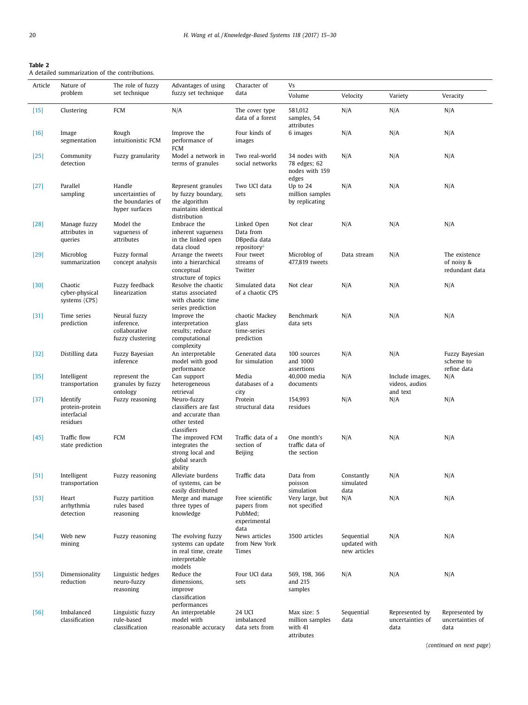<span id="page-5-0"></span>

| Table |  |  |  |
|-------|--|--|--|
|-------|--|--|--|

A detailed summarization of the contributions.

| Article | Nature of<br>problem                                   | The role of fuzzy<br>set technique                                | Advantages of using<br>fuzzy set technique                                                       | Character of<br>data                                                | Vs                                                       |                                            |                                               |                                               |
|---------|--------------------------------------------------------|-------------------------------------------------------------------|--------------------------------------------------------------------------------------------------|---------------------------------------------------------------------|----------------------------------------------------------|--------------------------------------------|-----------------------------------------------|-----------------------------------------------|
|         |                                                        |                                                                   |                                                                                                  |                                                                     | Volume                                                   | Velocity                                   | Variety                                       | Veracity                                      |
| $[15]$  | Clustering                                             | FCM                                                               | N/A                                                                                              | The cover type<br>data of a forest                                  | 581,012<br>samples, 54<br>attributes                     | N/A                                        | N/A                                           | N/A                                           |
| $[16]$  | Image<br>segmentation                                  | Rough<br>intuitionistic FCM                                       | Improve the<br>performance of<br><b>FCM</b>                                                      | Four kinds of<br>images                                             | 6 images                                                 | N/A                                        | N/A                                           | N/A                                           |
| $[25]$  | Community<br>detection                                 | Fuzzy granularity                                                 | Model a network in<br>terms of granules                                                          | Two real-world<br>social networks                                   | 34 nodes with<br>78 edges; 62<br>nodes with 159<br>edges | N/A                                        | N/A                                           | N/A                                           |
| $[27]$  | Parallel<br>sampling                                   | Handle<br>uncertainties of<br>the boundaries of<br>hyper surfaces | Represent granules<br>by fuzzy boundary,<br>the algorithm<br>maintains identical<br>distribution | Two UCI data<br>sets                                                | Up to 24<br>million samples<br>by replicating            | N/A                                        | N/A                                           | N/A                                           |
| $[28]$  | Manage fuzzy<br>attributes in<br>queries               | Model the<br>vagueness of<br>attributes                           | Embrace the<br>inherent vagueness<br>in the linked open<br>data cloud                            | Linked Open<br>Data from<br>DBpedia data<br>repository <sup>a</sup> | Not clear                                                | N/A                                        | N/A                                           | N/A                                           |
| $[29]$  | Microblog<br>summarization                             | Fuzzy formal<br>concept analysis                                  | Arrange the tweets<br>into a hierarchical<br>conceptual<br>structure of topics                   | Four tweet<br>streams of<br>Twitter                                 | Microblog of<br>477,819 tweets                           | Data stream                                | N/A                                           | The existence<br>of noisy &<br>redundant data |
| $[30]$  | Chaotic<br>cyber-physical<br>systems (CPS)             | Fuzzy feedback<br>linearization                                   | Resolve the chaotic<br>status associated<br>with chaotic time<br>series prediction               | Simulated data<br>of a chaotic CPS                                  | Not clear                                                | N/A                                        | N/A                                           | N/A                                           |
| $[31]$  | Time series<br>prediction                              | Neural fuzzy<br>inference,<br>collaborative<br>fuzzy clustering   | Improve the<br>interpretation<br>results; reduce<br>computational<br>complexity                  | chaotic Mackey<br>glass<br>time-series<br>prediction                | Benchmark<br>data sets                                   | N/A                                        | N/A                                           | N/A                                           |
| $[32]$  | Distilling data                                        | Fuzzy Bayesian<br>inference                                       | An interpretable<br>model with good<br>performance                                               | Generated data<br>for simulation                                    | 100 sources<br>and 1000<br>assertions                    | N/A                                        | N/A                                           | Fuzzy Bayesian<br>scheme to<br>refine data    |
| $[35]$  | Intelligent<br>transportation                          | represent the<br>granules by fuzzy<br>ontology                    | Can support<br>heterogeneous<br>retrieval                                                        | Media<br>databases of a<br>city                                     | 40,000 media<br>documents                                | N/A                                        | Include images,<br>videos, audios<br>and text | N/A                                           |
| $[37]$  | Identify<br>protein-protein<br>interfacial<br>residues | Fuzzy reasoning                                                   | Neuro-fuzzy<br>classifiers are fast<br>and accurate than<br>other tested<br>classifiers          | Protein<br>structural data                                          | 154,993<br>residues                                      | N/A                                        | N/A                                           | N/A                                           |
| $[45]$  | <b>Traffic flow</b><br>state prediction                | <b>FCM</b>                                                        | The improved FCM<br>integrates the<br>strong local and<br>global search<br>ability               | Traffic data of a<br>section of<br>Beijing                          | One month's<br>traffic data of<br>the section            | N/A                                        | N/A                                           | N/A                                           |
| $[51]$  | Intelligent<br>transportation                          | Fuzzy reasoning                                                   | Alleviate burdens<br>of systems, can be<br>easily distributed                                    | Traffic data                                                        | Data from<br>poisson<br>simulation                       | Constantly<br>simulated<br>data            | N/A                                           | N/A                                           |
| $[53]$  | Heart<br>arrhythmia<br>detection                       | Fuzzy partition<br>rules based<br>reasoning                       | Merge and manage<br>three types of<br>knowledge                                                  | Free scientific<br>papers from<br>PubMed;<br>experimental<br>data   | Very large, but<br>not specified                         | N/A                                        | N/A                                           | N/A                                           |
| $[54]$  | Web new<br>mining                                      | Fuzzy reasoning                                                   | The evolving fuzzy<br>systems can update<br>in real time, create<br>interpretable<br>models      | News articles<br>from New York<br>Times                             | 3500 articles                                            | Sequential<br>updated with<br>new articles | N/A                                           | N/A                                           |
| $[55]$  | Dimensionality<br>reduction                            | Linguistic hedges<br>neuro-fuzzy<br>reasoning                     | Reduce the<br>dimensions,<br>improve<br>classification<br>performances                           | Four UCI data<br>sets                                               | 569, 198, 366<br>and 215<br>samples                      | N/A                                        | N/A                                           | N/A                                           |
| $[56]$  | Imbalanced<br>classification                           | Linguistic fuzzy<br>rule-based<br>classification                  | An interpretable<br>model with<br>reasonable accuracy                                            | 24 UCI<br>imbalanced<br>data sets from                              | Max size: 5<br>million samples<br>with 41<br>attributes  | Sequential<br>data                         | Represented by<br>uncertainties of<br>data    | Represented by<br>uncertainties of<br>data    |

(*continued on next page*)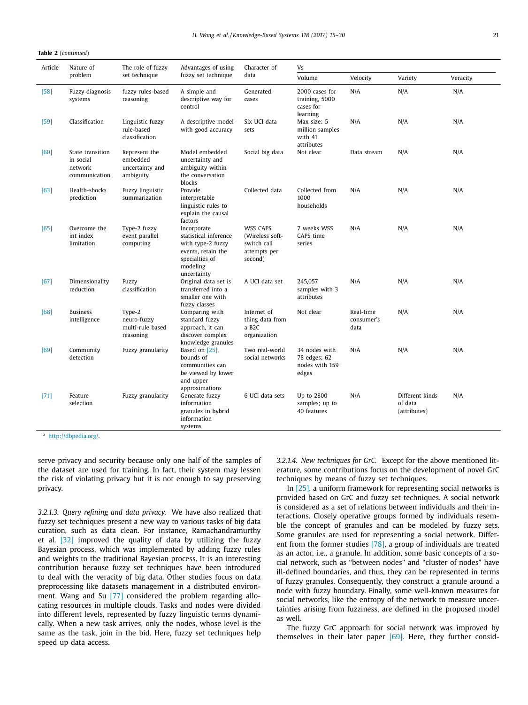**Table 2** (*continued*)

| Article | Nature of<br>problem                                      | The role of fuzzy<br>set technique                        | Advantages of using<br>fuzzy set technique                                                                                   | Character of<br>data                                                         | Vs                                                        |                                 |                                            |          |
|---------|-----------------------------------------------------------|-----------------------------------------------------------|------------------------------------------------------------------------------------------------------------------------------|------------------------------------------------------------------------------|-----------------------------------------------------------|---------------------------------|--------------------------------------------|----------|
|         |                                                           |                                                           |                                                                                                                              |                                                                              | Volume                                                    | Velocity                        | Variety                                    | Veracity |
| $[58]$  | Fuzzy diagnosis<br>systems                                | fuzzy rules-based<br>reasoning                            | A simple and<br>descriptive way for<br>control                                                                               | Generated<br>cases                                                           | 2000 cases for<br>training, 5000<br>cases for<br>learning | N/A                             | N/A                                        | N/A      |
| $[59]$  | Classification                                            | Linguistic fuzzy<br>rule-based<br>classification          | A descriptive model<br>with good accuracy                                                                                    | Six UCI data<br>sets                                                         | Max size: 5<br>million samples<br>with 41<br>attributes   | N/A                             | N/A                                        | N/A      |
| [60]    | State transition<br>in social<br>network<br>communication | Represent the<br>embedded<br>uncertainty and<br>ambiguity | Model embedded<br>uncertainty and<br>ambiguity within<br>the conversation<br>blocks                                          | Social big data                                                              | Not clear                                                 | Data stream                     | N/A                                        | N/A      |
| $[63]$  | Health-shocks<br>prediction                               | Fuzzy linguistic<br>summarization                         | Provide<br>interpretable<br>linguistic rules to<br>explain the causal<br>factors                                             | Collected data                                                               | Collected from<br>1000<br>households                      | N/A                             | N/A                                        | N/A      |
| $[65]$  | Overcome the<br>int index<br>limitation                   | Type-2 fuzzy<br>event parallel<br>computing               | Incorporate<br>statistical inference<br>with type-2 fuzzy<br>events, retain the<br>specialties of<br>modeling<br>uncertainty | <b>WSS CAPS</b><br>(Wireless soft-<br>switch call<br>attempts per<br>second) | 7 weeks WSS<br>CAPS time<br>series                        | N/A                             | N/A                                        | N/A      |
| $[67]$  | Dimensionality<br>reduction                               | Fuzzy<br>classification                                   | Original data set is<br>transferred into a<br>smaller one with<br>fuzzy classes                                              | A UCI data set                                                               | 245.057<br>samples with 3<br>attributes                   | N/A                             | N/A                                        | N/A      |
| [68]    | <b>Business</b><br>intelligence                           | Type-2<br>neuro-fuzzy<br>multi-rule based<br>reasoning    | Comparing with<br>standard fuzzy<br>approach, it can<br>discover complex<br>knowledge granules                               | Internet of<br>thing data from<br>a B <sub>2C</sub><br>organization          | Not clear                                                 | Real-time<br>consumer's<br>data | N/A                                        | N/A      |
| [69]    | Community<br>detection                                    | Fuzzy granularity                                         | Based on $[25]$ ,<br>bounds of<br>communities can<br>be viewed by lower<br>and upper<br>approximations                       | Two real-world<br>social networks                                            | 34 nodes with<br>78 edges; 62<br>nodes with 159<br>edges  | N/A                             | N/A                                        | N/A      |
| $[71]$  | Feature<br>selection<br><sup>a</sup> http://dbpedia.org/. | Fuzzy granularity                                         | Generate fuzzy<br>information<br>granules in hybrid<br>information<br>systems                                                | 6 UCI data sets                                                              | Up to 2800<br>samples; up to<br>40 features               | N/A                             | Different kinds<br>of data<br>(attributes) | N/A      |

serve privacy and security because only one half of the samples of the dataset are used for training. In fact, their system may lessen the risk of violating privacy but it is not enough to say preserving privacy.

*3.2.1.3. Query refining and data privacy.* We have also realized that fuzzy set techniques present a new way to various tasks of big data curation, such as data clean. For instance, Ramachandramurthy et al. [\[32\]](#page-14-0) improved the quality of data by utilizing the fuzzy Bayesian process, which was implemented by adding fuzzy rules and weights to the traditional Bayesian process. It is an interesting contribution because fuzzy set techniques have been introduced to deal with the veracity of big data. Other studies focus on data preprocessing like datasets management in a distributed environ-ment. Wang and Su [\[77\]](#page-14-0) considered the problem regarding allocating resources in multiple clouds. Tasks and nodes were divided into different levels, represented by fuzzy linguistic terms dynamically. When a new task arrives, only the nodes, whose level is the same as the task, join in the bid. Here, fuzzy set techniques help speed up data access.

*3.2.1.4. New techniques for GrC.* Except for the above mentioned literature, some contributions focus on the development of novel GrC techniques by means of fuzzy set techniques.

In [\[25\],](#page-14-0) a uniform framework for representing social networks is provided based on GrC and fuzzy set techniques. A social network is considered as a set of relations between individuals and their interactions. Closely operative groups formed by individuals resemble the concept of granules and can be modeled by fuzzy sets. Some granules are used for representing a social network. Different from the former studies [\[78\],](#page-14-0) a group of individuals are treated as an actor, i.e., a granule. In addition, some basic concepts of a social network, such as "between nodes" and "cluster of nodes" have ill-defined boundaries, and thus, they can be represented in terms of fuzzy granules. Consequently, they construct a granule around a node with fuzzy boundary. Finally, some well-known measures for social networks, like the entropy of the network to measure uncertainties arising from fuzziness, are defined in the proposed model as well.

The fuzzy GrC approach for social network was improved by themselves in their later paper [\[69\].](#page-14-0) Here, they further consid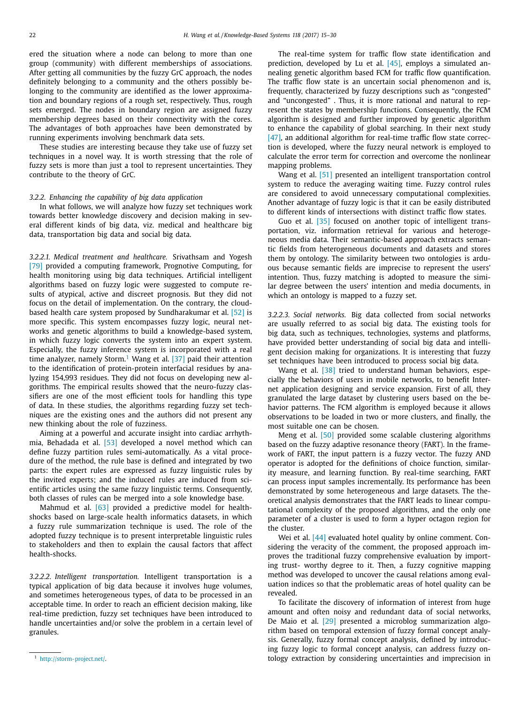ered the situation where a node can belong to more than one group (community) with different memberships of associations. After getting all communities by the fuzzy GrC approach, the nodes definitely belonging to a community and the others possibly belonging to the community are identified as the lower approximation and boundary regions of a rough set, respectively. Thus, rough sets emerged. The nodes in boundary region are assigned fuzzy membership degrees based on their connectivity with the cores. The advantages of both approaches have been demonstrated by running experiments involving benchmark data sets.

These studies are interesting because they take use of fuzzy set techniques in a novel way. It is worth stressing that the role of fuzzy sets is more than just a tool to represent uncertainties. They contribute to the theory of GrC.

#### *3.2.2. Enhancing the capability of big data application*

In what follows, we will analyze how fuzzy set techniques work towards better knowledge discovery and decision making in several different kinds of big data, viz. medical and healthcare big data, transportation big data and social big data.

*3.2.2.1. Medical treatment and healthcare.* Srivathsam and Yogesh [\[79\]](#page-14-0) provided a computing framework, Prognotive Computing, for health monitoring using big data techniques. Artificial intelligent algorithms based on fuzzy logic were suggested to compute results of atypical, active and discreet prognosis. But they did not focus on the detail of implementation. On the contrary, the cloudbased health care system proposed by Sundharakumar et al. [\[52\]](#page-14-0) is more specific. This system encompasses fuzzy logic, neural networks and genetic algorithms to build a knowledge-based system, in which fuzzy logic converts the system into an expert system. Especially, the fuzzy inference system is incorporated with a real time analyzer, namely Storm.<sup>1</sup> Wang et al. [\[37\]](#page-14-0) paid their attention to the identification of protein-protein interfacial residues by analyzing 154,993 residues. They did not focus on developing new algorithms. The empirical results showed that the neuro-fuzzy classifiers are one of the most efficient tools for handling this type of data. In these studies, the algorithms regarding fuzzy set techniques are the existing ones and the authors did not present any new thinking about the role of fuzziness.

Aiming at a powerful and accurate insight into cardiac arrhythmia, Behadada et al. [\[53\]](#page-14-0) developed a novel method which can define fuzzy partition rules semi-automatically. As a vital procedure of the method, the rule base is defined and integrated by two parts: the expert rules are expressed as fuzzy linguistic rules by the invited experts; and the induced rules are induced from scientific articles using the same fuzzy linguistic terms. Consequently, both classes of rules can be merged into a sole knowledge base.

Mahmud et al. [\[63\]](#page-14-0) provided a predictive model for healthshocks based on large-scale health informatics datasets, in which a fuzzy rule summarization technique is used. The role of the adopted fuzzy technique is to present interpretable linguistic rules to stakeholders and then to explain the causal factors that affect health-shocks.

*3.2.2.2. Intelligent transportation.* Intelligent transportation is a typical application of big data because it involves huge volumes, and sometimes heterogeneous types, of data to be processed in an acceptable time. In order to reach an efficient decision making, like real-time prediction, fuzzy set techniques have been introduced to handle uncertainties and/or solve the problem in a certain level of granules.

The real-time system for traffic flow state identification and prediction, developed by Lu et al. [\[45\],](#page-14-0) employs a simulated annealing genetic algorithm based FCM for traffic flow quantification. The traffic flow state is an uncertain social phenomenon and is, frequently, characterized by fuzzy descriptions such as "congested" and "uncongested" . Thus, it is more rational and natural to represent the states by membership functions. Consequently, the FCM algorithm is designed and further improved by genetic algorithm to enhance the capability of global searching. In their next study [\[47\],](#page-14-0) an additional algorithm for real-time traffic flow state correction is developed, where the fuzzy neural network is employed to calculate the error term for correction and overcome the nonlinear mapping problems.

Wang et al. [\[51\]](#page-14-0) presented an intelligent transportation control system to reduce the averaging waiting time. Fuzzy control rules are considered to avoid unnecessary computational complexities. Another advantage of fuzzy logic is that it can be easily distributed to different kinds of intersections with distinct traffic flow states.

Guo et al. [\[35\]](#page-14-0) focused on another topic of intelligent transportation, viz. information retrieval for various and heterogeneous media data. Their semantic-based approach extracts semantic fields from heterogeneous documents and datasets and stores them by ontology. The similarity between two ontologies is arduous because semantic fields are imprecise to represent the users' intention. Thus, fuzzy matching is adopted to measure the similar degree between the users' intention and media documents, in which an ontology is mapped to a fuzzy set.

*3.2.2.3. Social networks.* Big data collected from social networks are usually referred to as social big data. The existing tools for big data, such as techniques, technologies, systems and platforms, have provided better understanding of social big data and intelligent decision making for organizations. It is interesting that fuzzy set techniques have been introduced to process social big data.

Wang et al. [\[38\]](#page-14-0) tried to understand human behaviors, especially the behaviors of users in mobile networks, to benefit Internet application designing and service expansion. First of all, they granulated the large dataset by clustering users based on the behavior patterns. The FCM algorithm is employed because it allows observations to be loaded in two or more clusters, and finally, the most suitable one can be chosen.

Meng et al. [\[50\]](#page-14-0) provided some scalable clustering algorithms based on the fuzzy adaptive resonance theory (FART). In the framework of FART, the input pattern is a fuzzy vector. The fuzzy AND operator is adopted for the definitions of choice function, similarity measure, and learning function. By real-time searching, FART can process input samples incrementally. Its performance has been demonstrated by some heterogeneous and large datasets. The theoretical analysis demonstrates that the FART leads to linear computational complexity of the proposed algorithms, and the only one parameter of a cluster is used to form a hyper octagon region for the cluster.

Wei et al. [\[44\]](#page-14-0) evaluated hotel quality by online comment. Considering the veracity of the comment, the proposed approach improves the traditional fuzzy comprehensive evaluation by importing trust- worthy degree to it. Then, a fuzzy cognitive mapping method was developed to uncover the causal relations among evaluation indices so that the problematic areas of hotel quality can be revealed.

To facilitate the discovery of information of interest from huge amount and often noisy and redundant data of social networks, De Maio et al. [\[29\]](#page-14-0) presented a microblog summarization algorithm based on temporal extension of fuzzy formal concept analysis. Generally, fuzzy formal concept analysis, defined by introducing fuzzy logic to formal concept analysis, can address fuzzy ontology extraction by considering uncertainties and imprecision in

<sup>1</sup> [http://storm-project.net/.](http://storm-project.net/)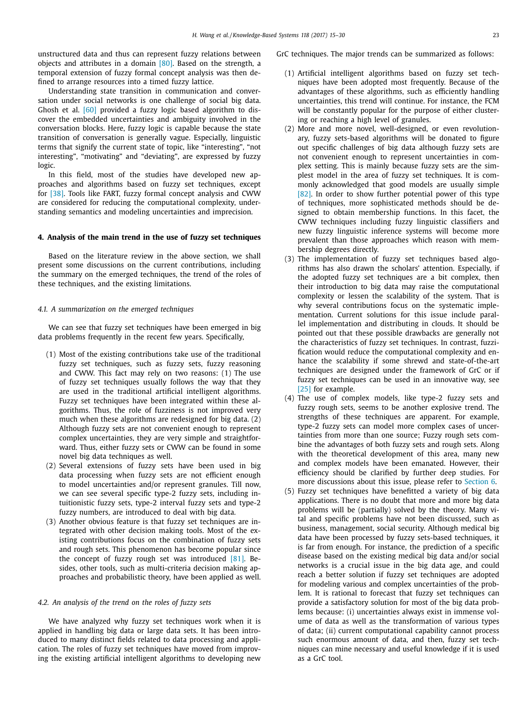<span id="page-8-0"></span>unstructured data and thus can represent fuzzy relations between objects and attributes in a domain [\[80\].](#page-14-0) Based on the strength, a temporal extension of fuzzy formal concept analysis was then defined to arrange resources into a timed fuzzy lattice.

Understanding state transition in communication and conversation under social networks is one challenge of social big data. Ghosh et al. [\[60\]](#page-14-0) provided a fuzzy logic based algorithm to discover the embedded uncertainties and ambiguity involved in the conversation blocks. Here, fuzzy logic is capable because the state transition of conversation is generally vague. Especially, linguistic terms that signify the current state of topic, like "interesting", "not interesting", "motivating" and "deviating", are expressed by fuzzy logic.

In this field, most of the studies have developed new approaches and algorithms based on fuzzy set techniques, except for [\[38\].](#page-14-0) Tools like FART, fuzzy formal concept analysis and CWW are considered for reducing the computational complexity, understanding semantics and modeling uncertainties and imprecision.

### **4. Analysis of the main trend in the use of fuzzy set techniques**

Based on the literature review in the above section, we shall present some discussions on the current contributions, including the summary on the emerged techniques, the trend of the roles of these techniques, and the existing limitations.

#### *4.1. A summarization on the emerged techniques*

We can see that fuzzy set techniques have been emerged in big data problems frequently in the recent few years. Specifically,

- (1) Most of the existing contributions take use of the traditional fuzzy set techniques, such as fuzzy sets, fuzzy reasoning and CWW. This fact may rely on two reasons: (1) The use of fuzzy set techniques usually follows the way that they are used in the traditional artificial intelligent algorithms. Fuzzy set techniques have been integrated within these algorithms. Thus, the role of fuzziness is not improved very much when these algorithms are redesigned for big data. (2) Although fuzzy sets are not convenient enough to represent complex uncertainties, they are very simple and straightforward. Thus, either fuzzy sets or CWW can be found in some novel big data techniques as well.
- (2) Several extensions of fuzzy sets have been used in big data processing when fuzzy sets are not efficient enough to model uncertainties and/or represent granules. Till now, we can see several specific type-2 fuzzy sets, including intuitionistic fuzzy sets, type-2 interval fuzzy sets and type-2 fuzzy numbers, are introduced to deal with big data.
- (3) Another obvious feature is that fuzzy set techniques are integrated with other decision making tools. Most of the existing contributions focus on the combination of fuzzy sets and rough sets. This phenomenon has become popular since the concept of fuzzy rough set was introduced  $[81]$ . Besides, other tools, such as multi-criteria decision making approaches and probabilistic theory, have been applied as well.

#### *4.2. An analysis of the trend on the roles of fuzzy sets*

We have analyzed why fuzzy set techniques work when it is applied in handling big data or large data sets. It has been introduced to many distinct fields related to data processing and application. The roles of fuzzy set techniques have moved from improving the existing artificial intelligent algorithms to developing new

GrC techniques. The major trends can be summarized as follows:

- (1) Artificial intelligent algorithms based on fuzzy set techniques have been adopted most frequently. Because of the advantages of these algorithms, such as efficiently handling uncertainties, this trend will continue. For instance, the FCM will be constantly popular for the purpose of either clustering or reaching a high level of granules.
- (2) More and more novel, well-designed, or even revolutionary, fuzzy sets-based algorithms will be donated to figure out specific challenges of big data although fuzzy sets are not convenient enough to represent uncertainties in complex setting. This is mainly because fuzzy sets are the simplest model in the area of fuzzy set techniques. It is commonly acknowledged that good models are usually simple [\[82\].](#page-14-0) In order to show further potential power of this type of techniques, more sophisticated methods should be designed to obtain membership functions. In this facet, the CWW techniques including fuzzy linguistic classifiers and new fuzzy linguistic inference systems will become more prevalent than those approaches which reason with membership degrees directly.
- (3) The implementation of fuzzy set techniques based algorithms has also drawn the scholars' attention. Especially, if the adopted fuzzy set techniques are a bit complex, then their introduction to big data may raise the computational complexity or lessen the scalability of the system. That is why several contributions focus on the systematic implementation. Current solutions for this issue include parallel implementation and distributing in clouds. It should be pointed out that these possible drawbacks are generally not the characteristics of fuzzy set techniques. In contrast, fuzzification would reduce the computational complexity and enhance the scalability if some shrewd and state-of-the-art techniques are designed under the framework of GrC or if fuzzy set techniques can be used in an innovative way, see [\[25\]](#page-14-0) for example.
- (4) The use of complex models, like type-2 fuzzy sets and fuzzy rough sets, seems to be another explosive trend. The strengths of these techniques are apparent. For example, type-2 fuzzy sets can model more complex cases of uncertainties from more than one source; Fuzzy rough sets combine the advantages of both fuzzy sets and rough sets. Along with the theoretical development of this area, many new and complex models have been emanated. However, their efficiency should be clarified by further deep studies. For more discussions about this issue, please refer to [Section](#page-11-0) 6.
- (5) Fuzzy set techniques have benefitted a variety of big data applications. There is no doubt that more and more big data problems will be (partially) solved by the theory. Many vital and specific problems have not been discussed, such as business, management, social security. Although medical big data have been processed by fuzzy sets-based techniques, it is far from enough. For instance, the prediction of a specific disease based on the existing medical big data and/or social networks is a crucial issue in the big data age, and could reach a better solution if fuzzy set techniques are adopted for modeling various and complex uncertainties of the problem. It is rational to forecast that fuzzy set techniques can provide a satisfactory solution for most of the big data problems because: (i) uncertainties always exist in immense volume of data as well as the transformation of various types of data; (ii) current computational capability cannot process such enormous amount of data, and then, fuzzy set techniques can mine necessary and useful knowledge if it is used as a GrC tool.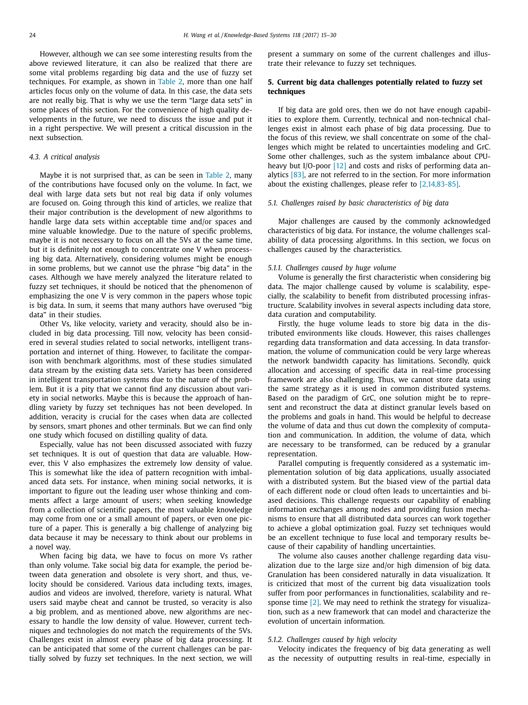<span id="page-9-0"></span>However, although we can see some interesting results from the above reviewed literature, it can also be realized that there are some vital problems regarding big data and the use of fuzzy set techniques. For example, as shown in [Table](#page-5-0) 2, more than one half articles focus only on the volume of data. In this case, the data sets are not really big. That is why we use the term "large data sets" in some places of this section. For the convenience of high quality developments in the future, we need to discuss the issue and put it in a right perspective. We will present a critical discussion in the next subsection.

#### *4.3. A critical analysis*

Maybe it is not surprised that, as can be seen in [Table](#page-5-0) 2, many of the contributions have focused only on the volume. In fact, we deal with large data sets but not real big data if only volumes are focused on. Going through this kind of articles, we realize that their major contribution is the development of new algorithms to handle large data sets within acceptable time and/or spaces and mine valuable knowledge. Due to the nature of specific problems, maybe it is not necessary to focus on all the 5Vs at the same time, but it is definitely not enough to concentrate one V when processing big data. Alternatively, considering volumes might be enough in some problems, but we cannot use the phrase "big data" in the cases. Although we have merely analyzed the literature related to fuzzy set techniques, it should be noticed that the phenomenon of emphasizing the one V is very common in the papers whose topic is big data. In sum, it seems that many authors have overused "big data" in their studies.

Other Vs, like velocity, variety and veracity, should also be included in big data processing. Till now, velocity has been considered in several studies related to social networks, intelligent transportation and internet of thing. However, to facilitate the comparison with benchmark algorithms, most of these studies simulated data stream by the existing data sets. Variety has been considered in intelligent transportation systems due to the nature of the problem. But it is a pity that we cannot find any discussion about variety in social networks. Maybe this is because the approach of handling variety by fuzzy set techniques has not been developed. In addition, veracity is crucial for the cases when data are collected by sensors, smart phones and other terminals. But we can find only one study which focused on distilling quality of data.

Especially, value has not been discussed associated with fuzzy set techniques. It is out of question that data are valuable. However, this V also emphasizes the extremely low density of value. This is somewhat like the idea of pattern recognition with imbalanced data sets. For instance, when mining social networks, it is important to figure out the leading user whose thinking and comments affect a large amount of users; when seeking knowledge from a collection of scientific papers, the most valuable knowledge may come from one or a small amount of papers, or even one picture of a paper. This is generally a big challenge of analyzing big data because it may be necessary to think about our problems in a novel way.

When facing big data, we have to focus on more Vs rather than only volume. Take social big data for example, the period between data generation and obsolete is very short, and thus, velocity should be considered. Various data including texts, images, audios and videos are involved, therefore, variety is natural. What users said maybe cheat and cannot be trusted, so veracity is also a big problem, and as mentioned above, new algorithms are necessary to handle the low density of value. However, current techniques and technologies do not match the requirements of the 5Vs. Challenges exist in almost every phase of big data processing. It can be anticipated that some of the current challenges can be partially solved by fuzzy set techniques. In the next section, we will present a summary on some of the current challenges and illustrate their relevance to fuzzy set techniques.

# **5. Current big data challenges potentially related to fuzzy set techniques**

If big data are gold ores, then we do not have enough capabilities to explore them. Currently, technical and non-technical challenges exist in almost each phase of big data processing. Due to the focus of this review, we shall concentrate on some of the challenges which might be related to uncertainties modeling and GrC. Some other challenges, such as the system imbalance about CPU-heavy but I/O-poor [\[12\]](#page-13-0) and costs and risks of performing data analytics  $[83]$ , are not referred to in the section. For more information about the existing challenges, please refer to [\[2,14,83-85\].](#page-13-0)

#### *5.1. Challenges raised by basic characteristics of big data*

Major challenges are caused by the commonly acknowledged characteristics of big data. For instance, the volume challenges scalability of data processing algorithms. In this section, we focus on challenges caused by the characteristics.

# *5.1.1. Challenges caused by huge volume*

Volume is generally the first characteristic when considering big data. The major challenge caused by volume is scalability, especially, the scalability to benefit from distributed processing infrastructure. Scalability involves in several aspects including data store, data curation and computability.

Firstly, the huge volume leads to store big data in the distributed environments like clouds. However, this raises challenges regarding data transformation and data accessing. In data transformation, the volume of communication could be very large whereas the network bandwidth capacity has limitations. Secondly, quick allocation and accessing of specific data in real-time processing framework are also challenging. Thus, we cannot store data using the same strategy as it is used in common distributed systems. Based on the paradigm of GrC, one solution might be to represent and reconstruct the data at distinct granular levels based on the problems and goals in hand. This would be helpful to decrease the volume of data and thus cut down the complexity of computation and communication. In addition, the volume of data, which are necessary to be transformed, can be reduced by a granular representation.

Parallel computing is frequently considered as a systematic implementation solution of big data applications, usually associated with a distributed system. But the biased view of the partial data of each different node or cloud often leads to uncertainties and biased decisions. This challenge requests our capability of enabling information exchanges among nodes and providing fusion mechanisms to ensure that all distributed data sources can work together to achieve a global optimization goal. Fuzzy set techniques would be an excellent technique to fuse local and temporary results because of their capability of handling uncertainties.

The volume also causes another challenge regarding data visualization due to the large size and/or high dimension of big data. Granulation has been considered naturally in data visualization. It is criticized that most of the current big data visualization tools suffer from poor performances in functionalities, scalability and response time  $[2]$ . We may need to rethink the strategy for visualization, such as a new framework that can model and characterize the evolution of uncertain information.

# *5.1.2. Challenges caused by high velocity*

Velocity indicates the frequency of big data generating as well as the necessity of outputting results in real-time, especially in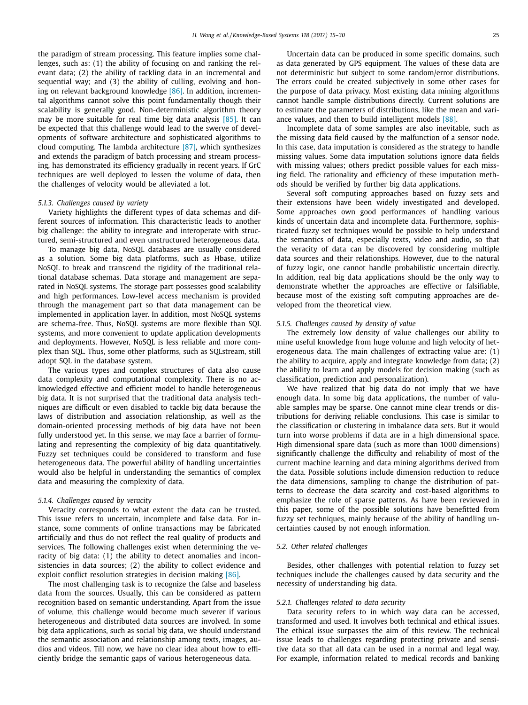the paradigm of stream processing. This feature implies some challenges, such as: (1) the ability of focusing on and ranking the relevant data; (2) the ability of tackling data in an incremental and sequential way; and (3) the ability of culling, evolving and honing on relevant background knowledge [\[86\].](#page-15-0) In addition, incremental algorithms cannot solve this point fundamentally though their scalability is generally good. Non-deterministic algorithm theory may be more suitable for real time big data analysis [\[85\].](#page-14-0) It can be expected that this challenge would lead to the swerve of developments of software architecture and sophisticated algorithms to cloud computing. The lambda architecture [\[87\],](#page-15-0) which synthesizes and extends the paradigm of batch processing and stream processing, has demonstrated its efficiency gradually in recent years. If GrC techniques are well deployed to lessen the volume of data, then the challenges of velocity would be alleviated a lot.

## *5.1.3. Challenges caused by variety*

Variety highlights the different types of data schemas and different sources of information. This characteristic leads to another big challenge: the ability to integrate and interoperate with structured, semi-structured and even unstructured heterogeneous data.

To manage big data, NoSQL databases are usually considered as a solution. Some big data platforms, such as Hbase, utilize NoSQL to break and transcend the rigidity of the traditional relational database schemas. Data storage and management are separated in NoSQL systems. The storage part possesses good scalability and high performances. Low-level access mechanism is provided through the management part so that data management can be implemented in application layer. In addition, most NoSQL systems are schema-free. Thus, NoSQL systems are more flexible than SQL systems, and more convenient to update application developments and deployments. However, NoSQL is less reliable and more complex than SQL. Thus, some other platforms, such as SQLstream, still adopt SQL in the database system.

The various types and complex structures of data also cause data complexity and computational complexity. There is no acknowledged effective and efficient model to handle heterogeneous big data. It is not surprised that the traditional data analysis techniques are difficult or even disabled to tackle big data because the laws of distribution and association relationship, as well as the domain-oriented processing methods of big data have not been fully understood yet. In this sense, we may face a barrier of formulating and representing the complexity of big data quantitatively. Fuzzy set techniques could be considered to transform and fuse heterogeneous data. The powerful ability of handling uncertainties would also be helpful in understanding the semantics of complex data and measuring the complexity of data.

## *5.1.4. Challenges caused by veracity*

Veracity corresponds to what extent the data can be trusted. This issue refers to uncertain, incomplete and false data. For instance, some comments of online transactions may be fabricated artificially and thus do not reflect the real quality of products and services. The following challenges exist when determining the veracity of big data: (1) the ability to detect anomalies and inconsistencies in data sources; (2) the ability to collect evidence and exploit conflict resolution strategies in decision making [\[86\].](#page-15-0)

The most challenging task is to recognize the false and baseless data from the sources. Usually, this can be considered as pattern recognition based on semantic understanding. Apart from the issue of volume, this challenge would become much severer if various heterogeneous and distributed data sources are involved. In some big data applications, such as social big data, we should understand the semantic association and relationship among texts, images, audios and videos. Till now, we have no clear idea about how to efficiently bridge the semantic gaps of various heterogeneous data.

Uncertain data can be produced in some specific domains, such as data generated by GPS equipment. The values of these data are not deterministic but subject to some random/error distributions. The errors could be created subjectively in some other cases for the purpose of data privacy. Most existing data mining algorithms cannot handle sample distributions directly. Current solutions are to estimate the parameters of distributions, like the mean and variance values, and then to build intelligent models [\[88\].](#page-15-0)

Incomplete data of some samples are also inevitable, such as the missing data field caused by the malfunction of a sensor node. In this case, data imputation is considered as the strategy to handle missing values. Some data imputation solutions ignore data fields with missing values; others predict possible values for each missing field. The rationality and efficiency of these imputation methods should be verified by further big data applications.

Several soft computing approaches based on fuzzy sets and their extensions have been widely investigated and developed. Some approaches own good performances of handling various kinds of uncertain data and incomplete data. Furthermore, sophisticated fuzzy set techniques would be possible to help understand the semantics of data, especially texts, video and audio, so that the veracity of data can be discovered by considering multiple data sources and their relationships. However, due to the natural of fuzzy logic, one cannot handle probabilistic uncertain directly. In addition, real big data applications should be the only way to demonstrate whether the approaches are effective or falsifiable, because most of the existing soft computing approaches are developed from the theoretical view.

#### *5.1.5. Challenges caused by density of value*

The extremely low density of value challenges our ability to mine useful knowledge from huge volume and high velocity of heterogeneous data. The main challenges of extracting value are: (1) the ability to acquire, apply and integrate knowledge from data; (2) the ability to learn and apply models for decision making (such as classification, prediction and personalization).

We have realized that big data do not imply that we have enough data. In some big data applications, the number of valuable samples may be sparse. One cannot mine clear trends or distributions for deriving reliable conclusions. This case is similar to the classification or clustering in imbalance data sets. But it would turn into worse problems if data are in a high dimensional space. High dimensional spare data (such as more than 1000 dimensions) significantly challenge the difficulty and reliability of most of the current machine learning and data mining algorithms derived from the data. Possible solutions include dimension reduction to reduce the data dimensions, sampling to change the distribution of patterns to decrease the data scarcity and cost-based algorithms to emphasize the role of sparse patterns. As have been reviewed in this paper, some of the possible solutions have benefitted from fuzzy set techniques, mainly because of the ability of handling uncertainties caused by not enough information.

#### *5.2. Other related challenges*

Besides, other challenges with potential relation to fuzzy set techniques include the challenges caused by data security and the necessity of understanding big data.

#### *5.2.1. Challenges related to data security*

Data security refers to in which way data can be accessed, transformed and used. It involves both technical and ethical issues. The ethical issue surpasses the aim of this review. The technical issue leads to challenges regarding protecting private and sensitive data so that all data can be used in a normal and legal way. For example, information related to medical records and banking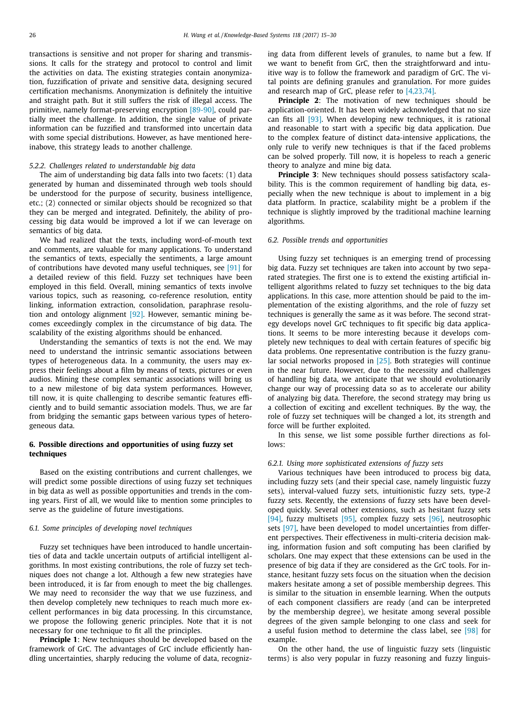<span id="page-11-0"></span>transactions is sensitive and not proper for sharing and transmissions. It calls for the strategy and protocol to control and limit the activities on data. The existing strategies contain anonymization, fuzzification of private and sensitive data, designing secured certification mechanisms. Anonymization is definitely the intuitive and straight path. But it still suffers the risk of illegal access. The primitive, namely format-preserving encryption [\[89-90\],](#page-15-0) could partially meet the challenge. In addition, the single value of private information can be fuzzified and transformed into uncertain data with some special distributions. However, as have mentioned hereinabove, this strategy leads to another challenge.

#### *5.2.2. Challenges related to understandable big data*

The aim of understanding big data falls into two facets: (1) data generated by human and disseminated through web tools should be understood for the purpose of security, business intelligence, etc.; (2) connected or similar objects should be recognized so that they can be merged and integrated. Definitely, the ability of processing big data would be improved a lot if we can leverage on semantics of big data.

We had realized that the texts, including word-of-mouth text and comments, are valuable for many applications. To understand the semantics of texts, especially the sentiments, a large amount of contributions have devoted many useful techniques, see [\[91\]](#page-15-0) for a detailed review of this field. Fuzzy set techniques have been employed in this field. Overall, mining semantics of texts involve various topics, such as reasoning, co-reference resolution, entity linking, information extraction, consolidation, paraphrase resolution and ontology alignment [\[92\].](#page-15-0) However, semantic mining becomes exceedingly complex in the circumstance of big data. The scalability of the existing algorithms should be enhanced.

Understanding the semantics of texts is not the end. We may need to understand the intrinsic semantic associations between types of heterogeneous data. In a community, the users may express their feelings about a film by means of texts, pictures or even audios. Mining these complex semantic associations will bring us to a new milestone of big data system performances. However, till now, it is quite challenging to describe semantic features efficiently and to build semantic association models. Thus, we are far from bridging the semantic gaps between various types of heterogeneous data.

# **6. Possible directions and opportunities of using fuzzy set techniques**

Based on the existing contributions and current challenges, we will predict some possible directions of using fuzzy set techniques in big data as well as possible opportunities and trends in the coming years. First of all, we would like to mention some principles to serve as the guideline of future investigations.

# *6.1. Some principles of developing novel techniques*

Fuzzy set techniques have been introduced to handle uncertainties of data and tackle uncertain outputs of artificial intelligent algorithms. In most existing contributions, the role of fuzzy set techniques does not change a lot. Although a few new strategies have been introduced, it is far from enough to meet the big challenges. We may need to reconsider the way that we use fuzziness, and then develop completely new techniques to reach much more excellent performances in big data processing. In this circumstance, we propose the following generic principles. Note that it is not necessary for one technique to fit all the principles.

**Principle 1**: New techniques should be developed based on the framework of GrC. The advantages of GrC include efficiently handling uncertainties, sharply reducing the volume of data, recognizing data from different levels of granules, to name but a few. If we want to benefit from GrC, then the straightforward and intuitive way is to follow the framework and paradigm of GrC. The vital points are defining granules and granulation. For more guides and research map of GrC, please refer to [\[4,23,74\].](#page-13-0)

**Principle 2**: The motivation of new techniques should be application-oriented. It has been widely acknowledged that no size can fits all [\[93\].](#page-15-0) When developing new techniques, it is rational and reasonable to start with a specific big data application. Due to the complex feature of distinct data-intensive applications, the only rule to verify new techniques is that if the faced problems can be solved properly. Till now, it is hopeless to reach a generic theory to analyze and mine big data.

**Principle 3**: New techniques should possess satisfactory scalability. This is the common requirement of handling big data, especially when the new technique is about to implement in a big data platform. In practice, scalability might be a problem if the technique is slightly improved by the traditional machine learning algorithms.

### *6.2. Possible trends and opportunities*

Using fuzzy set techniques is an emerging trend of processing big data. Fuzzy set techniques are taken into account by two separated strategies. The first one is to extend the existing artificial intelligent algorithms related to fuzzy set techniques to the big data applications. In this case, more attention should be paid to the implementation of the existing algorithms, and the role of fuzzy set techniques is generally the same as it was before. The second strategy develops novel GrC techniques to fit specific big data applications. It seems to be more interesting because it develops completely new techniques to deal with certain features of specific big data problems. One representative contribution is the fuzzy granular social networks proposed in [\[25\].](#page-14-0) Both strategies will continue in the near future. However, due to the necessity and challenges of handling big data, we anticipate that we should evolutionarily change our way of processing data so as to accelerate our ability of analyzing big data. Therefore, the second strategy may bring us a collection of exciting and excellent techniques. By the way, the role of fuzzy set techniques will be changed a lot, its strength and force will be further exploited.

In this sense, we list some possible further directions as follows:

## *6.2.1. Using more sophisticated extensions of fuzzy sets*

Various techniques have been introduced to process big data, including fuzzy sets (and their special case, namely linguistic fuzzy sets), interval-valued fuzzy sets, intuitionistic fuzzy sets, type-2 fuzzy sets. Recently, the extensions of fuzzy sets have been developed quickly. Several other extensions, such as hesitant fuzzy sets [\[94\],](#page-15-0) fuzzy multisets [\[95\],](#page-15-0) complex fuzzy sets [\[96\],](#page-15-0) neutrosophic sets [\[97\],](#page-15-0) have been developed to model uncertainties from different perspectives. Their effectiveness in multi-criteria decision making, information fusion and soft computing has been clarified by scholars. One may expect that these extensions can be used in the presence of big data if they are considered as the GrC tools. For instance, hesitant fuzzy sets focus on the situation when the decision makers hesitate among a set of possible membership degrees. This is similar to the situation in ensemble learning. When the outputs of each component classifiers are ready (and can be interpreted by the membership degree), we hesitate among several possible degrees of the given sample belonging to one class and seek for a useful fusion method to determine the class label, see [\[98\]](#page-15-0) for example.

On the other hand, the use of linguistic fuzzy sets (linguistic terms) is also very popular in fuzzy reasoning and fuzzy linguis-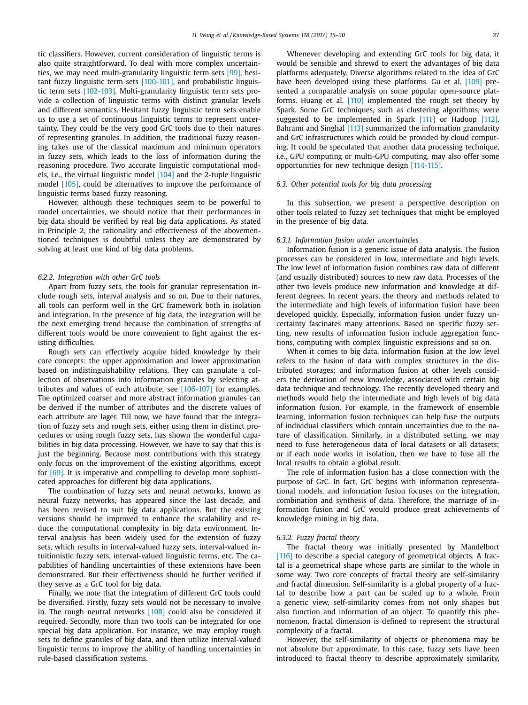tic classifiers. However, current consideration of linguistic terms is also quite straightforward. To deal with more complex uncertainties, we may need multi-granularity linguistic term sets [\[99\],](#page-15-0) hesitant fuzzy linguistic term sets [\[100-101\],](#page-15-0) and probabilistic linguistic term sets [\[102-103\].](#page-15-0) Multi-granularity linguistic term sets provide a collection of linguistic terms with distinct granular levels and different semantics. Hesitant fuzzy linguistic term sets enable us to use a set of continuous linguistic terms to represent uncertainty. They could be the very good GrC tools due to their natures of representing granules. In addition, the traditional fuzzy reasoning takes use of the classical maximum and minimum operators in fuzzy sets, which leads to the loss of information during the reasoning procedure. Two accurate linguistic computational models, i.e., the virtual linguistic model [\[104\]](#page-15-0) and the 2-tuple linguistic model [\[105\],](#page-15-0) could be alternatives to improve the performance of linguistic terms based fuzzy reasoning.

However, although these techniques seem to be powerful to model uncertainties, we should notice that their performances in big data should be verified by real big data applications. As stated in Principle 2, the rationality and effectiveness of the abovementioned techniques is doubtful unless they are demonstrated by solving at least one kind of big data problems.

#### *6.2.2. Integration with other GrC tools*

Apart from fuzzy sets, the tools for granular representation include rough sets, interval analysis and so on. Due to their natures, all tools can perform well in the GrC framework both in isolation and integration. In the presence of big data, the integration will be the next emerging trend because the combination of strengths of different tools would be more convenient to fight against the existing difficulties.

Rough sets can effectively acquire hided knowledge by their core concepts: the upper approximation and lower approximation based on indistinguishability relations. They can granulate a collection of observations into information granules by selecting attributes and values of each attribute, see [\[106-107\]](#page-15-0) for examples. The optimized coarser and more abstract information granules can be derived if the number of attributes and the discrete values of each attribute are lager. Till now, we have found that the integration of fuzzy sets and rough sets, either using them in distinct procedures or using rough fuzzy sets, has shown the wonderful capabilities in big data processing. However, we have to say that this is just the beginning. Because most contributions with this strategy only focus on the improvement of the existing algorithms, except for [\[69\].](#page-14-0) It is imperative and compelling to develop more sophisticated approaches for different big data applications.

The combination of fuzzy sets and neural networks, known as neural fuzzy networks, has appeared since the last decade, and has been revised to suit big data applications. But the existing versions should be improved to enhance the scalability and reduce the computational complexity in big data environment. Interval analysis has been widely used for the extension of fuzzy sets, which results in interval-valued fuzzy sets, interval-valued intuitionistic fuzzy sets, interval-valued linguistic terms, etc. The capabilities of handling uncertainties of these extensions have been demonstrated. But their effectiveness should be further verified if they serve as a GrC tool for big data.

Finally, we note that the integration of different GrC tools could be diversified. Firstly, fuzzy sets would not be necessary to involve in. The rough neutral networks [\[108\]](#page-15-0) could also be considered if required. Secondly, more than two tools can be integrated for one special big data application. For instance, we may employ rough sets to define granules of big data, and then utilize interval-valued linguistic terms to improve the ability of handling uncertainties in rule-based classification systems.

Whenever developing and extending GrC tools for big data, it would be sensible and shrewd to exert the advantages of big data platforms adequately. Diverse algorithms related to the idea of GrC have been developed using these platforms. Gu et al. [\[109\]](#page-15-0) presented a comparable analysis on some popular open-source platforms. Huang et al. [\[110\]](#page-15-0) implemented the rough set theory by Spark. Some GrC techniques, such as clustering algorithms, were suggested to be implemented in Spark [\[111\]](#page-15-0) or Hadoop [\[112\].](#page-15-0) Bahrami and Singhal <a>[\[113\]](#page-15-0)</a> summarized the information granularity and GrC infrastructures which could be provided by cloud computing. It could be speculated that another data processing technique, i.e., GPU computing or multi-GPU computing, may also offer some opportunities for new technique design [\[114-115\].](#page-15-0)

#### *6.3. Other potential tools for big data processing*

In this subsection, we present a perspective description on other tools related to fuzzy set techniques that might be employed in the presence of big data.

## *6.3.1. Information fusion under uncertainties*

Information fusion is a generic issue of data analysis. The fusion processes can be considered in low, intermediate and high levels. The low level of information fusion combines raw data of different (and usually distributed) sources to new raw data. Processes of the other two levels produce new information and knowledge at different degrees. In recent years, the theory and methods related to the intermediate and high levels of information fusion have been developed quickly. Especially, information fusion under fuzzy uncertainty fascinates many attentions. Based on specific fuzzy setting, new results of information fusion include aggregation functions, computing with complex linguistic expressions and so on.

When it comes to big data, information fusion at the low level refers to the fusion of data with complex structures in the distributed storages; and information fusion at other levels considers the derivation of new knowledge, associated with certain big data technique and technology. The recently developed theory and methods would help the intermediate and high levels of big data information fusion. For example, in the framework of ensemble learning, information fusion techniques can help fuse the outputs of individual classifiers which contain uncertainties due to the nature of classification. Similarly, in a distributed setting, we may need to fuse heterogeneous data of local datasets or all datasets; or if each node works in isolation, then we have to fuse all the local results to obtain a global result.

The role of information fusion has a close connection with the purpose of GrC. In fact, GrC begins with information representational models, and information fusion focuses on the integration, combination and synthesis of data. Therefore, the marriage of information fusion and GrC would produce great achievements of knowledge mining in big data.

#### *6.3.2. Fuzzy fractal theory*

The fractal theory was initially presented by Mandelbort  $[116]$  to describe a special category of geometrical objects. A fractal is a geometrical shape whose parts are similar to the whole in some way. Two core concepts of fractal theory are self-similarity and fractal dimension. Self-similarity is a global property of a fractal to describe how a part can be scaled up to a whole. From a generic view, self-similarity comes from not only shapes but also function and information of an object. To quantify this phenomenon, fractal dimension is defined to represent the structural complexity of a fractal.

However, the self-similarity of objects or phenomena may be not absolute but approximate. In this case, fuzzy sets have been introduced to fractal theory to describe approximately similarity,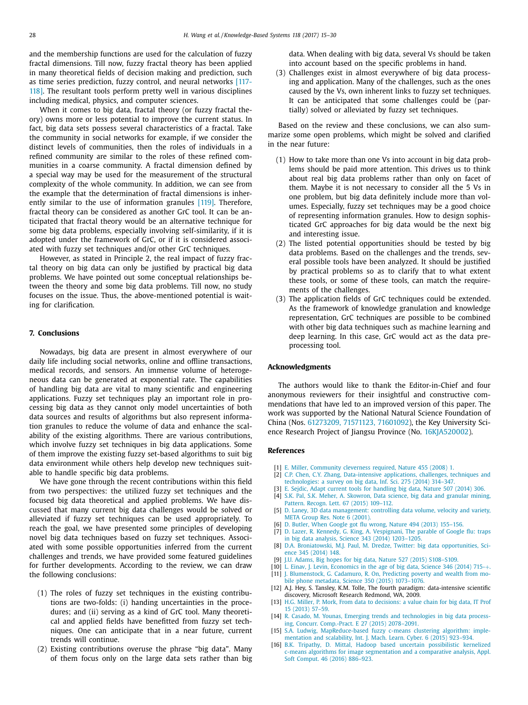<span id="page-13-0"></span>and the membership functions are used for the calculation of fuzzy fractal dimensions. Till now, fuzzy fractal theory has been applied in many theoretical fields of decision making and prediction, such as time series [prediction,](#page-15-0) fuzzy control, and neural networks [117- 118]. The resultant tools perform pretty well in various disciplines including medical, physics, and computer sciences.

When it comes to big data, fractal theory (or fuzzy fractal theory) owns more or less potential to improve the current status. In fact, big data sets possess several characteristics of a fractal. Take the community in social networks for example, if we consider the distinct levels of communities, then the roles of individuals in a refined community are similar to the roles of these refined communities in a coarse community. A fractal dimension defined by a special way may be used for the measurement of the structural complexity of the whole community. In addition, we can see from the example that the determination of fractal dimensions is inherently similar to the use of information granules [\[119\].](#page-15-0) Therefore, fractal theory can be considered as another GrC tool. It can be anticipated that fractal theory would be an alternative technique for some big data problems, especially involving self-similarity, if it is adopted under the framework of GrC, or if it is considered associated with fuzzy set techniques and/or other GrC techniques.

However, as stated in Principle 2, the real impact of fuzzy fractal theory on big data can only be justified by practical big data problems. We have pointed out some conceptual relationships between the theory and some big data problems. Till now, no study focuses on the issue. Thus, the above-mentioned potential is waiting for clarification.

# **7. Conclusions**

Nowadays, big data are present in almost everywhere of our daily life including social networks, online and offline transactions, medical records, and sensors. An immense volume of heterogeneous data can be generated at exponential rate. The capabilities of handling big data are vital to many scientific and engineering applications. Fuzzy set techniques play an important role in processing big data as they cannot only model uncertainties of both data sources and results of algorithms but also represent information granules to reduce the volume of data and enhance the scalability of the existing algorithms. There are various contributions, which involve fuzzy set techniques in big data applications. Some of them improve the existing fuzzy set-based algorithms to suit big data environment while others help develop new techniques suitable to handle specific big data problems.

We have gone through the recent contributions within this field from two perspectives: the utilized fuzzy set techniques and the focused big data theoretical and applied problems. We have discussed that many current big data challenges would be solved or alleviated if fuzzy set techniques can be used appropriately. To reach the goal, we have presented some principles of developing novel big data techniques based on fuzzy set techniques. Associated with some possible opportunities inferred from the current challenges and trends, we have provided some featured guidelines for further developments. According to the review, we can draw the following conclusions:

- (1) The roles of fuzzy set techniques in the existing contributions are two-folds: (i) handing uncertainties in the procedures; and (ii) serving as a kind of GrC tool. Many theoretical and applied fields have benefitted from fuzzy set techniques. One can anticipate that in a near future, current trends will continue.
- (2) Existing contributions overuse the phrase "big data". Many of them focus only on the large data sets rather than big

data. When dealing with big data, several Vs should be taken into account based on the specific problems in hand.

(3) Challenges exist in almost everywhere of big data processing and application. Many of the challenges, such as the ones caused by the Vs, own inherent links to fuzzy set techniques. It can be anticipated that some challenges could be (partially) solved or alleviated by fuzzy set techniques.

Based on the review and these conclusions, we can also summarize some open problems, which might be solved and clarified in the near future:

- (1) How to take more than one Vs into account in big data problems should be paid more attention. This drives us to think about real big data problems rather than only on facet of them. Maybe it is not necessary to consider all the 5 Vs in one problem, but big data definitely include more than volumes. Especially, fuzzy set techniques may be a good choice of representing information granules. How to design sophisticated GrC approaches for big data would be the next big and interesting issue.
- (2) The listed potential opportunities should be tested by big data problems. Based on the challenges and the trends, several possible tools have been analyzed. It should be justified by practical problems so as to clarify that to what extent these tools, or some of these tools, can match the requirements of the challenges.
- (3) The application fields of GrC techniques could be extended. As the framework of knowledge granulation and knowledge representation, GrC techniques are possible to be combined with other big data techniques such as machine learning and deep learning. In this case, GrC would act as the data preprocessing tool.

#### **Acknowledgments**

The authors would like to thank the Editor-in-Chief and four anonymous reviewers for their insightful and constructive commendations that have led to an improved version of this paper. The work was supported by the National Natural Science Foundation of China (Nos. 61273209, 71571123, 71601092), the Key University Science Research Project of Jiangsu Province (No. 16KJA520002).

#### **References**

- [1] E. [Miller,](http://refhub.elsevier.com/S0950-7051(16)30445-2/sbref0001) [Community](http://refhub.elsevier.com/S0950-7051(16)30445-2/sbref0001) cleverness required, Nature 455 (2008) 1.
- [2] C.P. [Chen,](http://refhub.elsevier.com/S0950-7051(16)30445-2/sbref0002) C.Y. [Zhang,](http://refhub.elsevier.com/S0950-7051(16)30445-2/sbref0002) [Data-intensive](http://refhub.elsevier.com/S0950-7051(16)30445-2/sbref0002) applications, challenges, techniques and technologies: a survey on big data, Inf. Sci. 275 (2014) 314–347.
- E. [Sejdic,](http://refhub.elsevier.com/S0950-7051(16)30445-2/sbref0003) Adapt current tools for [handling](http://refhub.elsevier.com/S0950-7051(16)30445-2/sbref0003) big data, Nature 507 (2014) 306. [4] [S.K.](http://refhub.elsevier.com/S0950-7051(16)30445-2/sbref0004) Pal, S.K. [Meher,](http://refhub.elsevier.com/S0950-7051(16)30445-2/sbref0004) A. [Skowron,](http://refhub.elsevier.com/S0950-7051(16)30445-2/sbref0004) Data science, big data and granular mining,
- Pattern. Recogn. Lett. 67 (2015) 109–112. [5] D. [Laney,](http://refhub.elsevier.com/S0950-7051(16)30445-2/sbref0005) 3D data [management:](http://refhub.elsevier.com/S0950-7051(16)30445-2/sbref0005) controlling data volume, velocity and variety,
- META Group Res. Note 6 (2001).
- [6] D. [Butler,](http://refhub.elsevier.com/S0950-7051(16)30445-2/sbref0006) When Google got flu wrong, Nature 494 (2013) [155–156.](http://refhub.elsevier.com/S0950-7051(16)30445-2/sbref0006)
- [7] D. [Lazer,](http://refhub.elsevier.com/S0950-7051(16)30445-2/sbref0007) R. [Kennedy,](http://refhub.elsevier.com/S0950-7051(16)30445-2/sbref0007) G. [King,](http://refhub.elsevier.com/S0950-7051(16)30445-2/sbref0007) A. [Vespignani,](http://refhub.elsevier.com/S0950-7051(16)30445-2/sbref0007) The parable of Google flu: traps in big data analysis, Science 343 (2014) 1203–1205.
- [8] D.A. [Broniatowski,](http://refhub.elsevier.com/S0950-7051(16)30445-2/sbref0008) M.J. [Paul,](http://refhub.elsevier.com/S0950-7051(16)30445-2/sbref0008) M. [Dredze,](http://refhub.elsevier.com/S0950-7051(16)30445-2/sbref0008) Twitter: big data [opportunities,](http://refhub.elsevier.com/S0950-7051(16)30445-2/sbref0008) Science 345 (2014) 148.
- [9] J.U. [Adams,](http://refhub.elsevier.com/S0950-7051(16)30445-2/sbref0009) Big hopes for big data, Nature 527 (2015) [S108–S109.](http://refhub.elsevier.com/S0950-7051(16)30445-2/sbref0009)
- [10] L. [Einav,](http://refhub.elsevier.com/S0950-7051(16)30445-2/sbref0010) J. [Levin,](http://refhub.elsevier.com/S0950-7051(16)30445-2/sbref0010) [Economics](http://refhub.elsevier.com/S0950-7051(16)30445-2/sbref0010) in the age of big data, Science 346 (2014) 715-+. [11] J. [Blumenstock,](http://refhub.elsevier.com/S0950-7051(16)30445-2/sbref0011) G. [Cadamuro,](http://refhub.elsevier.com/S0950-7051(16)30445-2/sbref0011) R. [On,](http://refhub.elsevier.com/S0950-7051(16)30445-2/sbref0011) Predicting poverty and wealth from mobile phone metadata, Science 350 (2015) 1073–1076.
- [12] A.J. Hey, S. Tansley, K.M. Tolle, The fourth paradigm: data-intensive scientific discovery, Microsoft Research Redmond, WA, 2009.
- [13] H.G. [Miller,](http://refhub.elsevier.com/S0950-7051(16)30445-2/sbref0012) P. [Mork,](http://refhub.elsevier.com/S0950-7051(16)30445-2/sbref0012) From data to [decisions:](http://refhub.elsevier.com/S0950-7051(16)30445-2/sbref0012) a value chain for big data, IT Prof 15 (2013) 57–59.
- [14] R. [Casado,](http://refhub.elsevier.com/S0950-7051(16)30445-2/sbref0013) M. [Younas,](http://refhub.elsevier.com/S0950-7051(16)30445-2/sbref0013) Emerging trends and technologies in big data processing, Concurr. [Comp.-Pract.](http://refhub.elsevier.com/S0950-7051(16)30445-2/sbref0013) E 27 (2015) 2078–2091.
- [15] S.A. [Ludwig,](http://refhub.elsevier.com/S0950-7051(16)30445-2/sbref0014) [MapReduce-based](http://refhub.elsevier.com/S0950-7051(16)30445-2/sbref0014) fuzzy c-means clustering algorithm: implementation and scalability, Int. J. Mach. Learn. Cyber. 6 (2015) 923–934.
- [16] B.K. [Tripathy,](http://refhub.elsevier.com/S0950-7051(16)30445-2/sbref0015) D. [Mittal,](http://refhub.elsevier.com/S0950-7051(16)30445-2/sbref0015) Hadoop based uncertain possibilistic kernelized c-means algorithms for image [segmentation](http://refhub.elsevier.com/S0950-7051(16)30445-2/sbref0015) and a comparative analysis, Appl. Soft Comput. 46 (2016) 886–923.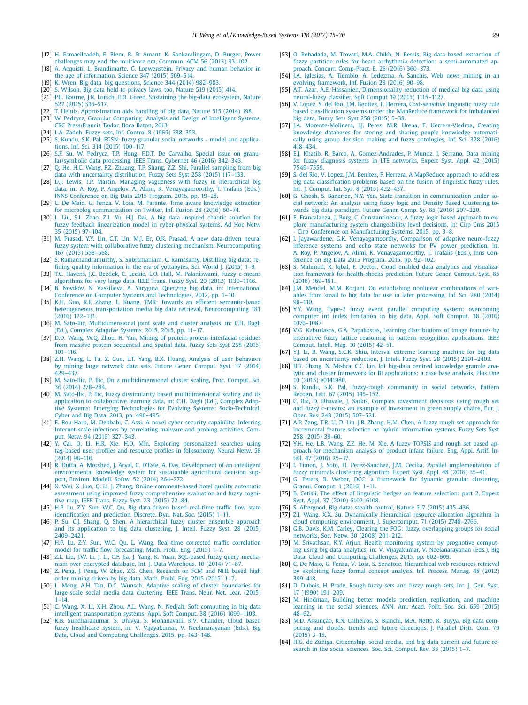- <span id="page-14-0"></span>[17] H. [Esmaeilzadeh,](http://refhub.elsevier.com/S0950-7051(16)30445-2/sbref0016) E. [Blem,](http://refhub.elsevier.com/S0950-7051(16)30445-2/sbref0016) R. St [Amant,](http://refhub.elsevier.com/S0950-7051(16)30445-2/sbref0016) K. [Sankaralingam,](http://refhub.elsevier.com/S0950-7051(16)30445-2/sbref0016) D. [Burger,](http://refhub.elsevier.com/S0950-7051(16)30445-2/sbref0016) Power challenges may end the multicore era, Commun. ACM 56 (2013) 93–102.
- [18] A. [Acquisti,](http://refhub.elsevier.com/S0950-7051(16)30445-2/sbref0017) L. [Brandimarte,](http://refhub.elsevier.com/S0950-7051(16)30445-2/sbref0017) G. [Loewenstein,](http://refhub.elsevier.com/S0950-7051(16)30445-2/sbref0017) Privacy and human behavior in the age of information, Science 347 (2015) 509–514.
- [19] K. [Wren,](http://refhub.elsevier.com/S0950-7051(16)30445-2/sbref0018) Big data, big [questions,](http://refhub.elsevier.com/S0950-7051(16)30445-2/sbref0018) Science 344 (2014) 982–983. [20] S. [Wilson,](http://refhub.elsevier.com/S0950-7051(16)30445-2/sbref0019) Big data held to [privacy](http://refhub.elsevier.com/S0950-7051(16)30445-2/sbref0019) laws, too, Nature 519 (2015) 414.
- [21] P.E. [Bourne,](http://refhub.elsevier.com/S0950-7051(16)30445-2/sbref0020) J.R. [Lorsch,](http://refhub.elsevier.com/S0950-7051(16)30445-2/sbref0020) E.D. [Green,](http://refhub.elsevier.com/S0950-7051(16)30445-2/sbref0020) Sustaining the big-data [ecosystem,](http://refhub.elsevier.com/S0950-7051(16)30445-2/sbref0020) Nature
- 527 (2015) S16–S17.
- [22] T. [Heinis,](http://refhub.elsevier.com/S0950-7051(16)30445-2/sbref0021) [Approximation](http://refhub.elsevier.com/S0950-7051(16)30445-2/sbref0021) aids handling of big data, Nature 515 (2014) 198. [23] W. [Pedrycz,](http://refhub.elsevier.com/S0950-7051(16)30445-2/sbref0022) Granular Computing: Analysis and Design of Intelligent Systems, CRC [Press/Francis](http://refhub.elsevier.com/S0950-7051(16)30445-2/sbref0022) Taylor, Boca Raton, 2013.
- [24] L.A. [Zadeh,](http://refhub.elsevier.com/S0950-7051(16)30445-2/sbref0023) Fuzzy sets, Inf. Control 8 (1965) [338–353.](http://refhub.elsevier.com/S0950-7051(16)30445-2/sbref0023)
- [25] S. [Kundu,](http://refhub.elsevier.com/S0950-7051(16)30445-2/sbref0024) [S.K.](http://refhub.elsevier.com/S0950-7051(16)30445-2/sbref0024) Pal, FGSN: fuzzy granular social [networks](http://refhub.elsevier.com/S0950-7051(16)30445-2/sbref0024) model and applications, Inf. Sci. 314 (2015) 100–117.
- [26] [S.F.](http://refhub.elsevier.com/S0950-7051(16)30445-2/sbref0025) Su, W. [Pedrycz,](http://refhub.elsevier.com/S0950-7051(16)30445-2/sbref0025) T.P. [Hong,](http://refhub.elsevier.com/S0950-7051(16)30445-2/sbref0025) F.D.T. De [Carvalho,](http://refhub.elsevier.com/S0950-7051(16)30445-2/sbref0025) Special issue on granu[lar/symbolic](http://refhub.elsevier.com/S0950-7051(16)30445-2/sbref0025) data processing, IEEE Trans. Cybernet 46 (2016) 342–343.
- [27] Q. [He,](http://refhub.elsevier.com/S0950-7051(16)30445-2/sbref0026) H.C. [Wang,](http://refhub.elsevier.com/S0950-7051(16)30445-2/sbref0026) F.Z. [Zhuang,](http://refhub.elsevier.com/S0950-7051(16)30445-2/sbref0026) T.F. [Shang,](http://refhub.elsevier.com/S0950-7051(16)30445-2/sbref0026) Z.Z. [Shi,](http://refhub.elsevier.com/S0950-7051(16)30445-2/sbref0026) Parallel sampling from big data with uncertainty [distribution,](http://refhub.elsevier.com/S0950-7051(16)30445-2/sbref0026) Fuzzy Sets Syst 258 (2015) 117–133.
- [28] D.J. [Lewis,](http://refhub.elsevier.com/S0950-7051(16)30445-2/sbref0027) T.P. [Martin,](http://refhub.elsevier.com/S0950-7051(16)30445-2/sbref0027) Managing vagueness with fuzzy in hierarchical big data, in: A. Roy, P. Angelov, A. Alimi, K. [Venayagamoorthy,](http://refhub.elsevier.com/S0950-7051(16)30445-2/sbref0027) T. Trafalis (Eds.), INNS Conference on Big Data 2015 Program, 2015, pp. 19–28.
- [29] C. De [Maio,](http://refhub.elsevier.com/S0950-7051(16)30445-2/sbref0028) G. [Fenza,](http://refhub.elsevier.com/S0950-7051(16)30445-2/sbref0028) V. [Loia,](http://refhub.elsevier.com/S0950-7051(16)30445-2/sbref0028) M. [Parente,](http://refhub.elsevier.com/S0950-7051(16)30445-2/sbref0028) Time aware knowledge extraction for microblog [summarization](http://refhub.elsevier.com/S0950-7051(16)30445-2/sbref0028) on Twitter, Inf. Fusion 28 (2016) 60–74.
- [30] L. [Liu,](http://refhub.elsevier.com/S0950-7051(16)30445-2/sbref0029) S.L. [Zhao,](http://refhub.elsevier.com/S0950-7051(16)30445-2/sbref0029) [Z.L.](http://refhub.elsevier.com/S0950-7051(16)30445-2/sbref0029) Yu, H.J. [Dai,](http://refhub.elsevier.com/S0950-7051(16)30445-2/sbref0029) A big data inspired chaotic solution for fuzzy feedback linearization model in [cyber-physical](http://refhub.elsevier.com/S0950-7051(16)30445-2/sbref0029) systems, Ad Hoc Netw 35 (2015) 97–104.
- [31] M. [Prasad,](http://refhub.elsevier.com/S0950-7051(16)30445-2/sbref0030) Y.Y. [Lin,](http://refhub.elsevier.com/S0950-7051(16)30445-2/sbref0030) C.T. [Lin,](http://refhub.elsevier.com/S0950-7051(16)30445-2/sbref0030) [M.J.](http://refhub.elsevier.com/S0950-7051(16)30445-2/sbref0030) Er, O.K. [Prasad,](http://refhub.elsevier.com/S0950-7051(16)30445-2/sbref0030) A new data-driven neural fuzzy system with collaborative fuzzy clustering mechanism, [Neurocomputing](http://refhub.elsevier.com/S0950-7051(16)30445-2/sbref0030) 167 (2015) 558–568.
- [32] S. [Ramachandramurthy,](http://refhub.elsevier.com/S0950-7051(16)30445-2/sbref0031) S. [Subramaniam,](http://refhub.elsevier.com/S0950-7051(16)30445-2/sbref0031) C. [Ramasamy,](http://refhub.elsevier.com/S0950-7051(16)30445-2/sbref0031) Distilling big data: refining quality information in the era of yottabytes, Sci. World J. (2015) 1–9.
- [33] T.C. [Havens,](http://refhub.elsevier.com/S0950-7051(16)30445-2/sbref0032) J.C. [Bezdek,](http://refhub.elsevier.com/S0950-7051(16)30445-2/sbref0032) C. [Leckie,](http://refhub.elsevier.com/S0950-7051(16)30445-2/sbref0032) L.O. [Hall,](http://refhub.elsevier.com/S0950-7051(16)30445-2/sbref0032) M. [Palaniswami,](http://refhub.elsevier.com/S0950-7051(16)30445-2/sbref0032) Fuzzy c-means algorithms for very large data, IEEE Trans. Fuzzy Syst. 20 (2012) 1130–1146.
- [34] B. [Novikov,](http://refhub.elsevier.com/S0950-7051(16)30445-2/sbref0033) N. [Vassilieva,](http://refhub.elsevier.com/S0950-7051(16)30445-2/sbref0033) A. [Yarygina, Querying](http://refhub.elsevier.com/S0950-7051(16)30445-2/sbref0033) big data, in: International Conference on Computer Systems and Technologies, 2012, pp. 1–10.
- [35] K.H. [Guo,](http://refhub.elsevier.com/S0950-7051(16)30445-2/sbref0034) R.F. [Zhang,](http://refhub.elsevier.com/S0950-7051(16)30445-2/sbref0034) L. [Kuang,](http://refhub.elsevier.com/S0950-7051(16)30445-2/sbref0034) TMR: Towards an efficient semantic-based heterogeneous transportation media big data retrieval, [Neurocomputing](http://refhub.elsevier.com/S0950-7051(16)30445-2/sbref0034) 181 (2016) 122–131.
- [36] M. [Sato-Ilic,](http://refhub.elsevier.com/S0950-7051(16)30445-2/sbref0035) [Multidimensional](http://refhub.elsevier.com/S0950-7051(16)30445-2/sbref0035) joint scale and cluster analysis, in: C.H. Dagli (Ed.), Complex Adaptive Systems, 2015, 2015, pp. 11–17.
- [37] D.D. [Wang,](http://refhub.elsevier.com/S0950-7051(16)30445-2/sbref0036) W.Q. [Zhou,](http://refhub.elsevier.com/S0950-7051(16)30445-2/sbref0036) H. [Yan,](http://refhub.elsevier.com/S0950-7051(16)30445-2/sbref0036) Mining of [protein-protein](http://refhub.elsevier.com/S0950-7051(16)30445-2/sbref0036) interfacial residues from massive protein sequential and spatial data, Fuzzy Sets Syst 258 (2015) 101–116.
- [38] Z.H. [Wang,](http://refhub.elsevier.com/S0950-7051(16)30445-2/sbref0037) L. [Tu,](http://refhub.elsevier.com/S0950-7051(16)30445-2/sbref0037) Z. [Guo,](http://refhub.elsevier.com/S0950-7051(16)30445-2/sbref0037) L.T. [Yang,](http://refhub.elsevier.com/S0950-7051(16)30445-2/sbref0037) B.X. [Huang,](http://refhub.elsevier.com/S0950-7051(16)30445-2/sbref0037) Analysis of user [behaviors](http://refhub.elsevier.com/S0950-7051(16)30445-2/sbref0037) by mining large network data sets, Future Gener. Comput. Syst. 37 (2014) 429–437.
- [39] M. [Sato-Ilic,](http://refhub.elsevier.com/S0950-7051(16)30445-2/sbref0038) P. [Ilic,](http://refhub.elsevier.com/S0950-7051(16)30445-2/sbref0038) On a [multidimensional](http://refhub.elsevier.com/S0950-7051(16)30445-2/sbref0038) cluster scaling, Proc. Comput. Sci. 36 (2014) 278–284.
- [40] M. [Sato-Ilic,](http://refhub.elsevier.com/S0950-7051(16)30445-2/sbref0039) P. [Ilic,](http://refhub.elsevier.com/S0950-7051(16)30445-2/sbref0039) Fuzzy dissimilarity based [multidimensional](http://refhub.elsevier.com/S0950-7051(16)30445-2/sbref0039) scaling and its application to collaborative learning data, in: C.H. Dagli (Ed.), Complex Adaptive Systems: Emerging Technologies for Evolving Systems: Socio-Technical, Cyber and Big Data, 2013, pp. 490–495.
- [41] E. [Bou-Harb,](http://refhub.elsevier.com/S0950-7051(16)30445-2/sbref0040) M. [Debbabi,](http://refhub.elsevier.com/S0950-7051(16)30445-2/sbref0040) C. [Assi,](http://refhub.elsevier.com/S0950-7051(16)30445-2/sbref0040) A novel cyber security capability: Inferring [Internet-scale](http://refhub.elsevier.com/S0950-7051(16)30445-2/sbref0040) infections by correlating malware and probing activities, Comput. Netw. 94 (2016) 327–343.
- [42] Y. [Cai,](http://refhub.elsevier.com/S0950-7051(16)30445-2/sbref0041) Q. [Li,](http://refhub.elsevier.com/S0950-7051(16)30445-2/sbref0041) [H.R.](http://refhub.elsevier.com/S0950-7051(16)30445-2/sbref0041) Xie, H.Q. [Min,](http://refhub.elsevier.com/S0950-7051(16)30445-2/sbref0041) Exploring [personalized](http://refhub.elsevier.com/S0950-7051(16)30445-2/sbref0041) searches using tag-based user profiles and resource profiles in folksonomy, Neural Netw. 58 (2014) 98–110.
- [43] R. [Dutta,](http://refhub.elsevier.com/S0950-7051(16)30445-2/sbref0042) A. [Morshed,](http://refhub.elsevier.com/S0950-7051(16)30445-2/sbref0042) J. [Aryal,](http://refhub.elsevier.com/S0950-7051(16)30445-2/sbref0042) C. [D'Este,](http://refhub.elsevier.com/S0950-7051(16)30445-2/sbref0042) A. [Das,](http://refhub.elsevier.com/S0950-7051(16)30445-2/sbref0042) Development of an intelligent [environmental](http://refhub.elsevier.com/S0950-7051(16)30445-2/sbref0042) knowledge system for sustainable agricultural decision support, Environ. Modell. Softw. 52 (2014) 264–272.
- [44] X. [Wei,](http://refhub.elsevier.com/S0950-7051(16)30445-2/sbref0043) X. [Luo,](http://refhub.elsevier.com/S0950-7051(16)30445-2/sbref0043) [Q.](http://refhub.elsevier.com/S0950-7051(16)30445-2/sbref0043) Li, J. [Zhang,](http://refhub.elsevier.com/S0950-7051(16)30445-2/sbref0043) Online [comment-based](http://refhub.elsevier.com/S0950-7051(16)30445-2/sbref0043) hotel quality automatic assessment using improved fuzzy comprehensive evaluation and fuzzy cognitive map, IEEE Trans. Fuzzy Syst. 23 (2015) 72–84.
- [45] [H.P.](http://refhub.elsevier.com/S0950-7051(16)30445-2/sbref0044) Lu, Z.Y. [Sun,](http://refhub.elsevier.com/S0950-7051(16)30445-2/sbref0044) [W.C.](http://refhub.elsevier.com/S0950-7051(16)30445-2/sbref0044) Qu, Big data-driven based real-time traffic flow state [identification](http://refhub.elsevier.com/S0950-7051(16)30445-2/sbref0044) and prediction, Discrete. Dyn. Nat. Soc. (2015) 1–11.
- [46] P. [Su,](http://refhub.elsevier.com/S0950-7051(16)30445-2/sbref0045) C.J. [Shang,](http://refhub.elsevier.com/S0950-7051(16)30445-2/sbref0045) Q. [Shen,](http://refhub.elsevier.com/S0950-7051(16)30445-2/sbref0045) A [hierarchical](http://refhub.elsevier.com/S0950-7051(16)30445-2/sbref0045) fuzzy cluster ensemble approach and its application to big data clustering, J. Intell. Fuzzy Syst. 28 (2015) 2409–2421.
- [47] [H.P.](http://refhub.elsevier.com/S0950-7051(16)30445-2/sbref0046) Lu, Z.Y. [Sun,](http://refhub.elsevier.com/S0950-7051(16)30445-2/sbref0046) [W.C.](http://refhub.elsevier.com/S0950-7051(16)30445-2/sbref0046) Qu, L. [Wang, Real-time](http://refhub.elsevier.com/S0950-7051(16)30445-2/sbref0046) corrected traffic correlation model for traffic flow forecasting, Math. Probl. Eng. (2015) 1–7.
- [48] Z.L. [Liu,](http://refhub.elsevier.com/S0950-7051(16)30445-2/sbref0047) [J.W.](http://refhub.elsevier.com/S0950-7051(16)30445-2/sbref0047) [Li,](http://refhub.elsevier.com/S0950-7051(16)30445-2/sbref0047) J. Li, [C.F.](http://refhub.elsevier.com/S0950-7051(16)30445-2/sbref0047) Jia, J. [Yang,](http://refhub.elsevier.com/S0950-7051(16)30445-2/sbref0047) K. [Yuan,](http://refhub.elsevier.com/S0950-7051(16)30445-2/sbref0047) SQL-based fuzzy query mechanism over encrypted database, Int. J. Data [Warehous.](http://refhub.elsevier.com/S0950-7051(16)30445-2/sbref0047) 10 (2014) 71–87.
- [49] Z. [Peng,](http://refhub.elsevier.com/S0950-7051(16)30445-2/sbref0048) J. Peng, W. [Zhao,](http://refhub.elsevier.com/S0950-7051(16)30445-2/sbref0048) Z.G. [Chen,](http://refhub.elsevier.com/S0950-7051(16)30445-2/sbref0048) [Research](http://refhub.elsevier.com/S0950-7051(16)30445-2/sbref0048) on FCM and NHL based high order mining driven by big data, Math. Probl. Eng. 2015 (2015) 1–7.
- [50] L. [Meng,](http://refhub.elsevier.com/S0950-7051(16)30445-2/sbref0049) [A.H.](http://refhub.elsevier.com/S0950-7051(16)30445-2/sbref0049) Tan, D.C. [Wunsch,](http://refhub.elsevier.com/S0950-7051(16)30445-2/sbref0049) Adaptive scaling of cluster [boundaries](http://refhub.elsevier.com/S0950-7051(16)30445-2/sbref0049) for large-scale social media data clustering, IEEE Trans. Neur. Net. Lear. (2015)  $1 - 14$
- [51] C. [Wang,](http://refhub.elsevier.com/S0950-7051(16)30445-2/sbref0050) X. [Li,](http://refhub.elsevier.com/S0950-7051(16)30445-2/sbref0050) X.H. [Zhou,](http://refhub.elsevier.com/S0950-7051(16)30445-2/sbref0050) A.L. [Wang,](http://refhub.elsevier.com/S0950-7051(16)30445-2/sbref0050) N. [Nedjah,](http://refhub.elsevier.com/S0950-7051(16)30445-2/sbref0050) Soft computing in big data intelligent [transportation](http://refhub.elsevier.com/S0950-7051(16)30445-2/sbref0050) systems, Appl. Soft Comput. 38 (2016) 1099–1108.
- [52] K.B. [Sundharakumar,](http://refhub.elsevier.com/S0950-7051(16)30445-2/sbref0051) S. [Dhivya,](http://refhub.elsevier.com/S0950-7051(16)30445-2/sbref0051) S. [Mohanavalli,](http://refhub.elsevier.com/S0950-7051(16)30445-2/sbref0051) R.V. [Chander,](http://refhub.elsevier.com/S0950-7051(16)30445-2/sbref0051) Cloud based fuzzy healthcare system, in: V. Vijayakumar, V. Neelanarayanan (Eds.), Big Data, Cloud and Computing Challenges, 2015, pp. 143–148.
- [53] O. [Behadada,](http://refhub.elsevier.com/S0950-7051(16)30445-2/sbref0052) M. [Trovati,](http://refhub.elsevier.com/S0950-7051(16)30445-2/sbref0052) M.A. [Chikh,](http://refhub.elsevier.com/S0950-7051(16)30445-2/sbref0052) N. [Bessis,](http://refhub.elsevier.com/S0950-7051(16)30445-2/sbref0052) Big data-based extraction of fuzzy partition rules for heart arrhythmia detection: a [semi-automated](http://refhub.elsevier.com/S0950-7051(16)30445-2/sbref0052) approach, Concurr. Comp-Pract. E. 28 (2016) 360–373.
- [54] J.A. [Iglesias,](http://refhub.elsevier.com/S0950-7051(16)30445-2/sbref0053) A. [Tiemblo,](http://refhub.elsevier.com/S0950-7051(16)30445-2/sbref0053) A. [Ledezma,](http://refhub.elsevier.com/S0950-7051(16)30445-2/sbref0053) A. [Sanchis,](http://refhub.elsevier.com/S0950-7051(16)30445-2/sbref0053) Web news mining in an evolving [framework,](http://refhub.elsevier.com/S0950-7051(16)30445-2/sbref0053) Inf. Fusion 28 (2016) 90–98.
- [55] A.T. [Azar,](http://refhub.elsevier.com/S0950-7051(16)30445-2/sbref0054) A.E. [Hassanien,](http://refhub.elsevier.com/S0950-7051(16)30445-2/sbref0054) [Dimensionality](http://refhub.elsevier.com/S0950-7051(16)30445-2/sbref0054) reduction of medical big data using neural-fuzzy classifier, Soft Comput 19 (2015) 1115–1127.
- [56] V. [Lopez,](http://refhub.elsevier.com/S0950-7051(16)30445-2/sbref0055) S. del [Rio,](http://refhub.elsevier.com/S0950-7051(16)30445-2/sbref0055) J.M. [Benitez,](http://refhub.elsevier.com/S0950-7051(16)30445-2/sbref0055) F. [Herrera,](http://refhub.elsevier.com/S0950-7051(16)30445-2/sbref0055) [Cost-sensitive](http://refhub.elsevier.com/S0950-7051(16)30445-2/sbref0055) linguistic fuzzy rule based classification systems under the MapReduce framework for imbalanced big data, Fuzzy Sets Syst 258 (2015) 5–38.
- [57] J.A. [Morente-Molinera,](http://refhub.elsevier.com/S0950-7051(16)30445-2/sbref0056) I.J. [Perez,](http://refhub.elsevier.com/S0950-7051(16)30445-2/sbref0056) M.R. [Urena,](http://refhub.elsevier.com/S0950-7051(16)30445-2/sbref0056) E. [Herrera-Viedma,](http://refhub.elsevier.com/S0950-7051(16)30445-2/sbref0056) Creating knowledge databases for storing and sharing people knowledge automatically using group decision making and fuzzy ontologies, Inf. Sci. 328 (2016) 418–434.
- [58] E.J. [Khatib,](http://refhub.elsevier.com/S0950-7051(16)30445-2/sbref0057) R. [Barco,](http://refhub.elsevier.com/S0950-7051(16)30445-2/sbref0057) A. [Gomez-Andrades,](http://refhub.elsevier.com/S0950-7051(16)30445-2/sbref0057) P. [Munoz,](http://refhub.elsevier.com/S0950-7051(16)30445-2/sbref0057) I. [Serrano,](http://refhub.elsevier.com/S0950-7051(16)30445-2/sbref0057) Data mining for fuzzy diagnosis systems in LTE networks, Expert Syst. Appl. 42 (2015) 7549–7559.
- [59] S. del [Rio,](http://refhub.elsevier.com/S0950-7051(16)30445-2/sbref0058) V. [Lopez,](http://refhub.elsevier.com/S0950-7051(16)30445-2/sbref0058) J.M. [Benitez,](http://refhub.elsevier.com/S0950-7051(16)30445-2/sbref0058) F. [Herrera,](http://refhub.elsevier.com/S0950-7051(16)30445-2/sbref0058) A MapReduce approach to address big data [classification](http://refhub.elsevier.com/S0950-7051(16)30445-2/sbref0058) problems based on the fusion of linguistic fuzzy rules, Int. J. Comput. Int. Sys. 8 (2015) 422–437.
- [60] G. [Ghosh,](http://refhub.elsevier.com/S0950-7051(16)30445-2/sbref0059) S. [Banerjee,](http://refhub.elsevier.com/S0950-7051(16)30445-2/sbref0059) N.Y. [Yen,](http://refhub.elsevier.com/S0950-7051(16)30445-2/sbref0059) State transition in [communication](http://refhub.elsevier.com/S0950-7051(16)30445-2/sbref0059) under social network: An analysis using fuzzy logic and Density Based Clustering towards big data paradigm, Future Gener. Comp. Sy. 65 (2016) 207–220.
- [61] E. [Francalanza,](http://refhub.elsevier.com/S0950-7051(16)30445-2/sbref0060) J. [Borg,](http://refhub.elsevier.com/S0950-7051(16)30445-2/sbref0060) C. [Constantinescu,](http://refhub.elsevier.com/S0950-7051(16)30445-2/sbref0060) A fuzzy logic based approach to explore manufacturing system changeability level decisions, in: Cirp Cms 2015 - Cirp Conference on Manufacturing Systems, 2015, pp. 3–8.
- [62] I. [Jayawardene,](http://refhub.elsevier.com/S0950-7051(16)30445-2/sbref0061) G.K. [Venayagamoorthy,](http://refhub.elsevier.com/S0950-7051(16)30445-2/sbref0061) Comparison of adaptive neuro-fuzzy inference systems and echo state networks for PV power prediction, in: A. Roy, P. Angelov, A. Alimi, K. Venayagamoorthy, T. Trafalis (Eds.), Inns Conference on Big Data 2015 Program, 2015, pp. 92–102.
- [63] S. [Mahmud,](http://refhub.elsevier.com/S0950-7051(16)30445-2/sbref0062) R. [Iqbal,](http://refhub.elsevier.com/S0950-7051(16)30445-2/sbref0062) F. [Doctor,](http://refhub.elsevier.com/S0950-7051(16)30445-2/sbref0062) Cloud enabled data analytics and visualization framework for [health-shocks](http://refhub.elsevier.com/S0950-7051(16)30445-2/sbref0062) prediction, Future Gener. Comput. Syst. 65 (2016) 169–181.
- [64] J.M. [Mendel,](http://refhub.elsevier.com/S0950-7051(16)30445-2/sbref0063) M.M. [Korjani,](http://refhub.elsevier.com/S0950-7051(16)30445-2/sbref0063) On establishing nonlinear [combinations](http://refhub.elsevier.com/S0950-7051(16)30445-2/sbref0063) of variables from small to big data for use in later processing, Inf. Sci. 280 (2014) 98–110.
- [65] Y.Y. [Wang,](http://refhub.elsevier.com/S0950-7051(16)30445-2/sbref0064) Type-2 fuzzy event parallel computing system: [overcoming](http://refhub.elsevier.com/S0950-7051(16)30445-2/sbref0064) computer int index limitation in big data, Appl. Soft Comput. 38 (2016) 1076–1087.
- [66] V.G. [Kaburlasos,](http://refhub.elsevier.com/S0950-7051(16)30445-2/sbref0065) G.A. [Papakostas,](http://refhub.elsevier.com/S0950-7051(16)30445-2/sbref0065) Learning [distributions](http://refhub.elsevier.com/S0950-7051(16)30445-2/sbref0065) of image features by interactive fuzzy lattice reasoning in pattern recognition applications, IEEE Comput. Intell. Mag. 10 (2015) 42–51.
- [67] [Y.J.](http://refhub.elsevier.com/S0950-7051(16)30445-2/sbref0066) Li, R. [Wang,](http://refhub.elsevier.com/S0950-7051(16)30445-2/sbref0066) [S.C.K.](http://refhub.elsevier.com/S0950-7051(16)30445-2/sbref0066) Shiu, Interval extreme learning machine for big data based on uncertainty reduction, J. Intell. Fuzzy Syst. 28 (2015) [2391–2403.](http://refhub.elsevier.com/S0950-7051(16)30445-2/sbref0066)
- [68] H.T. [Chang,](http://refhub.elsevier.com/S0950-7051(16)30445-2/sbref0067) N. [Mishra,](http://refhub.elsevier.com/S0950-7051(16)30445-2/sbref0067) [C.C.](http://refhub.elsevier.com/S0950-7051(16)30445-2/sbref0067) Lin, IoT big-data centred knowledge granule analytic and cluster framework for BI [applications:](http://refhub.elsevier.com/S0950-7051(16)30445-2/sbref0067) a case base analysis, Plos One 10 (2015) e0141980.
- [69] S. [Kundu,](http://refhub.elsevier.com/S0950-7051(16)30445-2/sbref0068) [S.K.](http://refhub.elsevier.com/S0950-7051(16)30445-2/sbref0068) Pal, [Fuzzy-rough](http://refhub.elsevier.com/S0950-7051(16)30445-2/sbref0068) community in social networks, Pattern Recogn. Lett. 67 (2015) 145–152.
- [70] C. [Bai,](http://refhub.elsevier.com/S0950-7051(16)30445-2/sbref0069) D. [Dhavale,](http://refhub.elsevier.com/S0950-7051(16)30445-2/sbref0069) J. [Sarkis,](http://refhub.elsevier.com/S0950-7051(16)30445-2/sbref0069) Complex [investment](http://refhub.elsevier.com/S0950-7051(16)30445-2/sbref0069) decisions using rough set and fuzzy c-means: an example of investment in green supply chains, Eur. J. Oper. Res. 248 (2015) 507–521.
- [71] A.P. [Zeng,](http://refhub.elsevier.com/S0950-7051(16)30445-2/sbref0070) [T.R.](http://refhub.elsevier.com/S0950-7051(16)30445-2/sbref0070) Li, D. [Liu,](http://refhub.elsevier.com/S0950-7051(16)30445-2/sbref0070) J.B. [Zhang,](http://refhub.elsevier.com/S0950-7051(16)30445-2/sbref0070) H.M. [Chen,](http://refhub.elsevier.com/S0950-7051(16)30445-2/sbref0070) A fuzzy rough set approach for [incremental](http://refhub.elsevier.com/S0950-7051(16)30445-2/sbref0070) feature selection on hybrid information systems, Fuzzy Sets Syst 258 (2015) 39–60.
- [72] [Y.H.](http://refhub.elsevier.com/S0950-7051(16)30445-2/sbref0071) He, L.B. [Wang,](http://refhub.elsevier.com/S0950-7051(16)30445-2/sbref0071) [Z.Z.](http://refhub.elsevier.com/S0950-7051(16)30445-2/sbref0071) He, M. [Xie,](http://refhub.elsevier.com/S0950-7051(16)30445-2/sbref0071) A fuzzy TOPSIS and rough set based approach for [mechanism](http://refhub.elsevier.com/S0950-7051(16)30445-2/sbref0071) analysis of product infant failure, Eng. Appl. Artif. Intell. 47 (2016) 25–37.
- [73] I. [Timon,](http://refhub.elsevier.com/S0950-7051(16)30445-2/sbref0072) J. [Soto,](http://refhub.elsevier.com/S0950-7051(16)30445-2/sbref0072) H. [Perez-Sanchez,](http://refhub.elsevier.com/S0950-7051(16)30445-2/sbref0072) J.M. [Cecilia,](http://refhub.elsevier.com/S0950-7051(16)30445-2/sbref0072) Parallel [implementation](http://refhub.elsevier.com/S0950-7051(16)30445-2/sbref0072) of fuzzy minimals clustering algorithm, Expert Syst. Appl. 48 (2016) 35–41.
- [74] G. [Peters,](http://refhub.elsevier.com/S0950-7051(16)30445-2/sbref0073) R. [Weber,](http://refhub.elsevier.com/S0950-7051(16)30445-2/sbref0073) DCC: a [framework](http://refhub.elsevier.com/S0950-7051(16)30445-2/sbref0073) for dynamic granular clustering, Granul. Comput. 1 (2016) 1–11.
- [75] B. [Cetisli,](http://refhub.elsevier.com/S0950-7051(16)30445-2/sbref0074) The effect of linguistic hedges on feature selection: part 2, Expert Syst. Appl. 37 (2010) [6102–6108.](http://refhub.elsevier.com/S0950-7051(16)30445-2/sbref0074)
- [76] S. [Aftergood,](http://refhub.elsevier.com/S0950-7051(16)30445-2/sbref0075) Big data: stealth control, Nature 517 (2015) [435–436.](http://refhub.elsevier.com/S0950-7051(16)30445-2/sbref0075)
- [77] Z.J. [Wang,](http://refhub.elsevier.com/S0950-7051(16)30445-2/sbref0076) [X.X.](http://refhub.elsevier.com/S0950-7051(16)30445-2/sbref0076) Su, Dynamically hierarchical [resource-allocation](http://refhub.elsevier.com/S0950-7051(16)30445-2/sbref0076) algorithm in cloud computing environment, J. Supercomput. 71 (2015) 2748–2766.
- [78] G.B. [Davis,](http://refhub.elsevier.com/S0950-7051(16)30445-2/sbref0077) K.M. [Carley,](http://refhub.elsevier.com/S0950-7051(16)30445-2/sbref0077) Clearing the FOG: fuzzy, [overlapping](http://refhub.elsevier.com/S0950-7051(16)30445-2/sbref0077) groups for social networks, Soc. Netw. 30 (2008) 201–212.
- [79] M. [Srivathsan,](http://refhub.elsevier.com/S0950-7051(16)30445-2/sbref0078) K.Y. [Arjun,](http://refhub.elsevier.com/S0950-7051(16)30445-2/sbref0078) Health monitoring system by prognotive computing using big data analytics, in: V. Vijayakumar, V. [Neelanarayanan](http://refhub.elsevier.com/S0950-7051(16)30445-2/sbref0078) (Eds.), Big Data, Cloud and Computing Challenges, 2015, pp. 602–609.
- [80] C. De [Maio,](http://refhub.elsevier.com/S0950-7051(16)30445-2/sbref0079) G. [Fenza,](http://refhub.elsevier.com/S0950-7051(16)30445-2/sbref0079) V. [Loia,](http://refhub.elsevier.com/S0950-7051(16)30445-2/sbref0079) S. [Senatore,](http://refhub.elsevier.com/S0950-7051(16)30445-2/sbref0079) [Hierarchical](http://refhub.elsevier.com/S0950-7051(16)30445-2/sbref0079) web resources retrieval by exploiting fuzzy formal concept analysis, Inf. Process. Manag. 48 (2012) 399–418.
- [81] D. [Dubois,](http://refhub.elsevier.com/S0950-7051(16)30445-2/sbref0080) H. [Prade,](http://refhub.elsevier.com/S0950-7051(16)30445-2/sbref0080) Rough fuzzy sets and fuzzy rough sets, Int. J. Gen. Syst. 17 (1990) [191–209.](http://refhub.elsevier.com/S0950-7051(16)30445-2/sbref0080)
- [82] M. [Hindman,](http://refhub.elsevier.com/S0950-7051(16)30445-2/sbref0081) Building better models prediction, [replication,](http://refhub.elsevier.com/S0950-7051(16)30445-2/sbref0081) and machine learning in the social sciences, ANN. Am. Acad. Polit. Soc. Sci. 659 (2015) 48–62.
- [83] M.D. [Assunção,](http://refhub.elsevier.com/S0950-7051(16)30445-2/sbref0082) R.N. [Calheiros,](http://refhub.elsevier.com/S0950-7051(16)30445-2/sbref0082) S. [Bianchi,](http://refhub.elsevier.com/S0950-7051(16)30445-2/sbref0082) M.A. [Netto,](http://refhub.elsevier.com/S0950-7051(16)30445-2/sbref0082) R. [Buyya,](http://refhub.elsevier.com/S0950-7051(16)30445-2/sbref0082) Big data computing and clouds: trends and future [directions,](http://refhub.elsevier.com/S0950-7051(16)30445-2/sbref0082) J. Parallel Distr. Com. 79 (2015) 3–15.
- [84] H.G. de [Zúñiga,](http://refhub.elsevier.com/S0950-7051(16)30445-2/sbref0083) [Citizenship,](http://refhub.elsevier.com/S0950-7051(16)30445-2/sbref0083) social media, and big data current and future research in the social sciences, Soc. Sci. Comput. Rev. 33 (2015) 1–7.